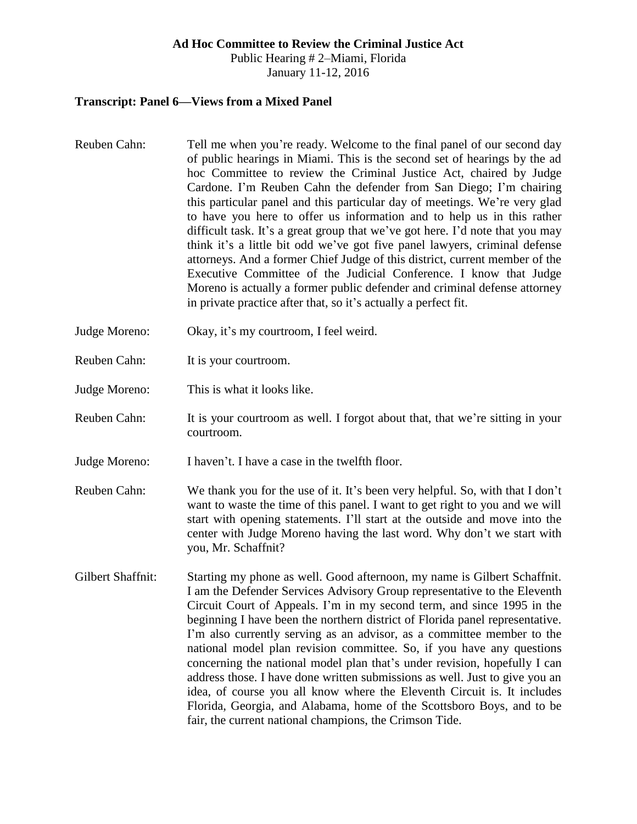#### **Ad Hoc Committee to Review the Criminal Justice Act**

Public Hearing # 2–Miami, Florida January 11-12, 2016

#### **Transcript: Panel 6—Views from a Mixed Panel**

- Reuben Cahn: Tell me when you're ready. Welcome to the final panel of our second day of public hearings in Miami. This is the second set of hearings by the ad hoc Committee to review the Criminal Justice Act, chaired by Judge Cardone. I'm Reuben Cahn the defender from San Diego; I'm chairing this particular panel and this particular day of meetings. We're very glad to have you here to offer us information and to help us in this rather difficult task. It's a great group that we've got here. I'd note that you may think it's a little bit odd we've got five panel lawyers, criminal defense attorneys. And a former Chief Judge of this district, current member of the Executive Committee of the Judicial Conference. I know that Judge Moreno is actually a former public defender and criminal defense attorney in private practice after that, so it's actually a perfect fit.
- Judge Moreno: Okay, it's my courtroom, I feel weird.
- Reuben Cahn: It is your courtroom.
- Judge Moreno: This is what it looks like.
- Reuben Cahn: It is your courtroom as well. I forgot about that, that we're sitting in your courtroom.
- Judge Moreno: I haven't. I have a case in the twelfth floor.
- Reuben Cahn: We thank you for the use of it. It's been very helpful. So, with that I don't want to waste the time of this panel. I want to get right to you and we will start with opening statements. I'll start at the outside and move into the center with Judge Moreno having the last word. Why don't we start with you, Mr. Schaffnit?
- Gilbert Shaffnit: Starting my phone as well. Good afternoon, my name is Gilbert Schaffnit. I am the Defender Services Advisory Group representative to the Eleventh Circuit Court of Appeals. I'm in my second term, and since 1995 in the beginning I have been the northern district of Florida panel representative. I'm also currently serving as an advisor, as a committee member to the national model plan revision committee. So, if you have any questions concerning the national model plan that's under revision, hopefully I can address those. I have done written submissions as well. Just to give you an idea, of course you all know where the Eleventh Circuit is. It includes Florida, Georgia, and Alabama, home of the Scottsboro Boys, and to be fair, the current national champions, the Crimson Tide.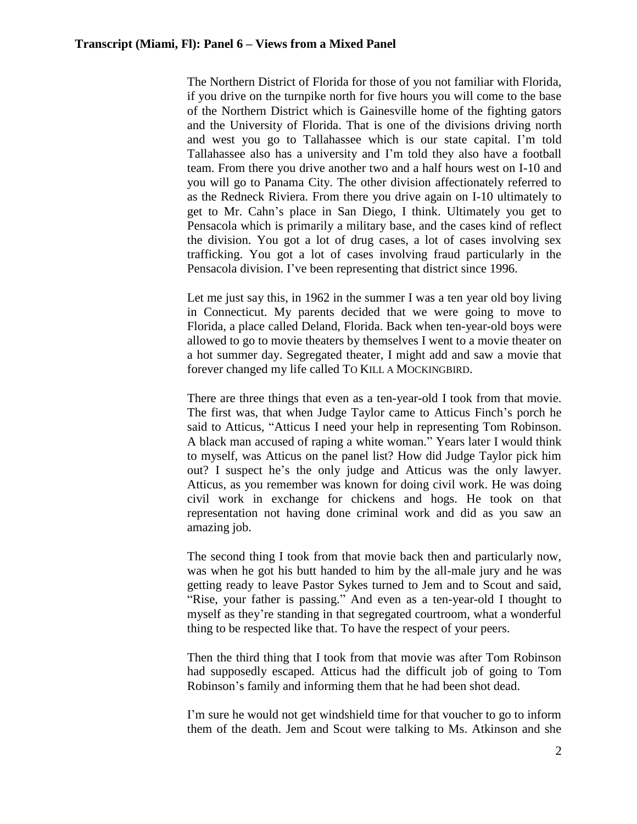The Northern District of Florida for those of you not familiar with Florida, if you drive on the turnpike north for five hours you will come to the base of the Northern District which is Gainesville home of the fighting gators and the University of Florida. That is one of the divisions driving north and west you go to Tallahassee which is our state capital. I'm told Tallahassee also has a university and I'm told they also have a football team. From there you drive another two and a half hours west on I-10 and you will go to Panama City. The other division affectionately referred to as the Redneck Riviera. From there you drive again on I-10 ultimately to get to Mr. Cahn's place in San Diego, I think. Ultimately you get to Pensacola which is primarily a military base, and the cases kind of reflect the division. You got a lot of drug cases, a lot of cases involving sex trafficking. You got a lot of cases involving fraud particularly in the Pensacola division. I've been representing that district since 1996.

Let me just say this, in 1962 in the summer I was a ten year old boy living in Connecticut. My parents decided that we were going to move to Florida, a place called Deland, Florida. Back when ten-year-old boys were allowed to go to movie theaters by themselves I went to a movie theater on a hot summer day. Segregated theater, I might add and saw a movie that forever changed my life called TO KILL A MOCKINGBIRD.

There are three things that even as a ten-year-old I took from that movie. The first was, that when Judge Taylor came to Atticus Finch's porch he said to Atticus, "Atticus I need your help in representing Tom Robinson. A black man accused of raping a white woman." Years later I would think to myself, was Atticus on the panel list? How did Judge Taylor pick him out? I suspect he's the only judge and Atticus was the only lawyer. Atticus, as you remember was known for doing civil work. He was doing civil work in exchange for chickens and hogs. He took on that representation not having done criminal work and did as you saw an amazing job.

The second thing I took from that movie back then and particularly now, was when he got his butt handed to him by the all-male jury and he was getting ready to leave Pastor Sykes turned to Jem and to Scout and said, "Rise, your father is passing." And even as a ten-year-old I thought to myself as they're standing in that segregated courtroom, what a wonderful thing to be respected like that. To have the respect of your peers.

Then the third thing that I took from that movie was after Tom Robinson had supposedly escaped. Atticus had the difficult job of going to Tom Robinson's family and informing them that he had been shot dead.

I'm sure he would not get windshield time for that voucher to go to inform them of the death. Jem and Scout were talking to Ms. Atkinson and she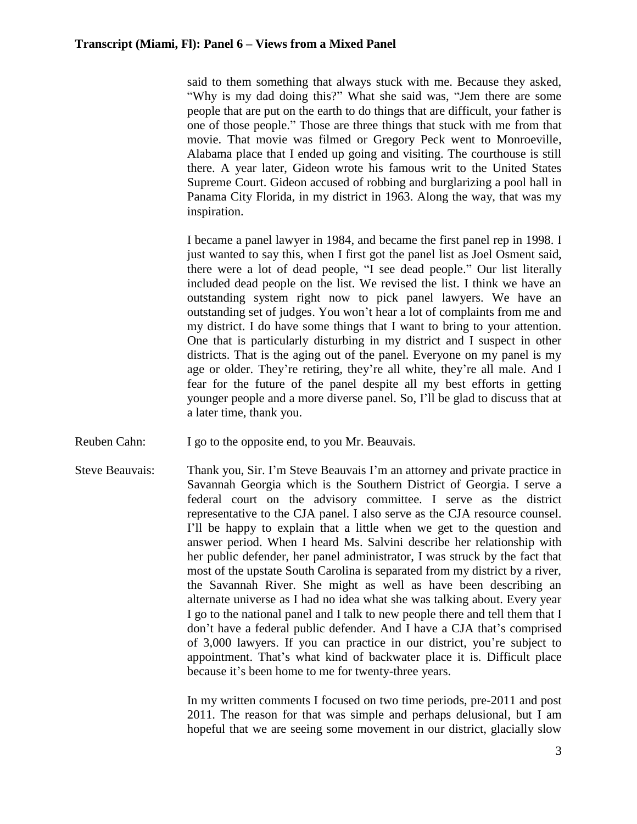said to them something that always stuck with me. Because they asked, "Why is my dad doing this?" What she said was, "Jem there are some people that are put on the earth to do things that are difficult, your father is one of those people." Those are three things that stuck with me from that movie. That movie was filmed or Gregory Peck went to Monroeville, Alabama place that I ended up going and visiting. The courthouse is still there. A year later, Gideon wrote his famous writ to the United States Supreme Court. Gideon accused of robbing and burglarizing a pool hall in Panama City Florida, in my district in 1963. Along the way, that was my inspiration.

I became a panel lawyer in 1984, and became the first panel rep in 1998. I just wanted to say this, when I first got the panel list as Joel Osment said, there were a lot of dead people, "I see dead people." Our list literally included dead people on the list. We revised the list. I think we have an outstanding system right now to pick panel lawyers. We have an outstanding set of judges. You won't hear a lot of complaints from me and my district. I do have some things that I want to bring to your attention. One that is particularly disturbing in my district and I suspect in other districts. That is the aging out of the panel. Everyone on my panel is my age or older. They're retiring, they're all white, they're all male. And I fear for the future of the panel despite all my best efforts in getting younger people and a more diverse panel. So, I'll be glad to discuss that at a later time, thank you.

- Reuben Cahn: I go to the opposite end, to you Mr. Beauvais.
- Steve Beauvais: Thank you, Sir. I'm Steve Beauvais I'm an attorney and private practice in Savannah Georgia which is the Southern District of Georgia. I serve a federal court on the advisory committee. I serve as the district representative to the CJA panel. I also serve as the CJA resource counsel. I'll be happy to explain that a little when we get to the question and answer period. When I heard Ms. Salvini describe her relationship with her public defender, her panel administrator, I was struck by the fact that most of the upstate South Carolina is separated from my district by a river, the Savannah River. She might as well as have been describing an alternate universe as I had no idea what she was talking about. Every year I go to the national panel and I talk to new people there and tell them that I don't have a federal public defender. And I have a CJA that's comprised of 3,000 lawyers. If you can practice in our district, you're subject to appointment. That's what kind of backwater place it is. Difficult place because it's been home to me for twenty-three years.

In my written comments I focused on two time periods, pre-2011 and post 2011. The reason for that was simple and perhaps delusional, but I am hopeful that we are seeing some movement in our district, glacially slow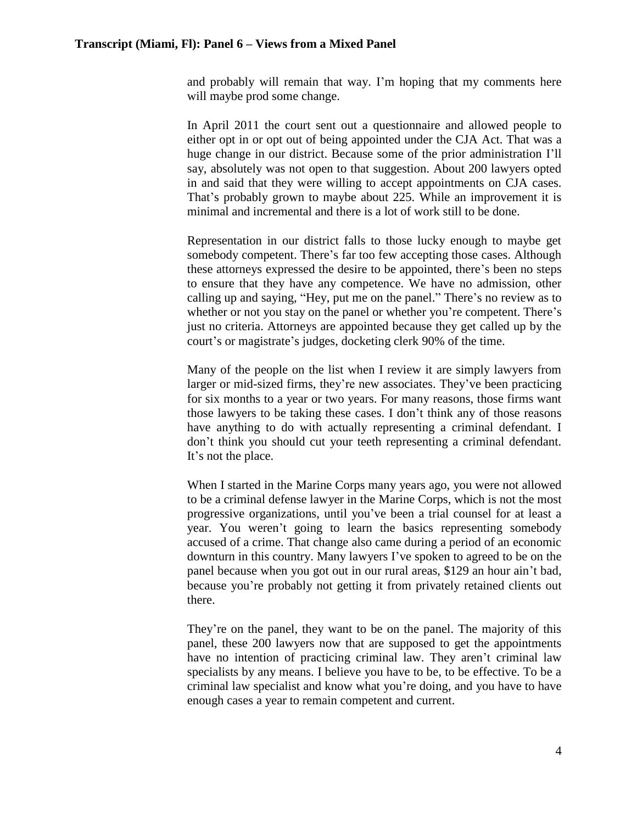and probably will remain that way. I'm hoping that my comments here will maybe prod some change.

In April 2011 the court sent out a questionnaire and allowed people to either opt in or opt out of being appointed under the CJA Act. That was a huge change in our district. Because some of the prior administration I'll say, absolutely was not open to that suggestion. About 200 lawyers opted in and said that they were willing to accept appointments on CJA cases. That's probably grown to maybe about 225. While an improvement it is minimal and incremental and there is a lot of work still to be done.

Representation in our district falls to those lucky enough to maybe get somebody competent. There's far too few accepting those cases. Although these attorneys expressed the desire to be appointed, there's been no steps to ensure that they have any competence. We have no admission, other calling up and saying, "Hey, put me on the panel." There's no review as to whether or not you stay on the panel or whether you're competent. There's just no criteria. Attorneys are appointed because they get called up by the court's or magistrate's judges, docketing clerk 90% of the time.

Many of the people on the list when I review it are simply lawyers from larger or mid-sized firms, they're new associates. They've been practicing for six months to a year or two years. For many reasons, those firms want those lawyers to be taking these cases. I don't think any of those reasons have anything to do with actually representing a criminal defendant. I don't think you should cut your teeth representing a criminal defendant. It's not the place.

When I started in the Marine Corps many years ago, you were not allowed to be a criminal defense lawyer in the Marine Corps, which is not the most progressive organizations, until you've been a trial counsel for at least a year. You weren't going to learn the basics representing somebody accused of a crime. That change also came during a period of an economic downturn in this country. Many lawyers I've spoken to agreed to be on the panel because when you got out in our rural areas, \$129 an hour ain't bad, because you're probably not getting it from privately retained clients out there.

They're on the panel, they want to be on the panel. The majority of this panel, these 200 lawyers now that are supposed to get the appointments have no intention of practicing criminal law. They aren't criminal law specialists by any means. I believe you have to be, to be effective. To be a criminal law specialist and know what you're doing, and you have to have enough cases a year to remain competent and current.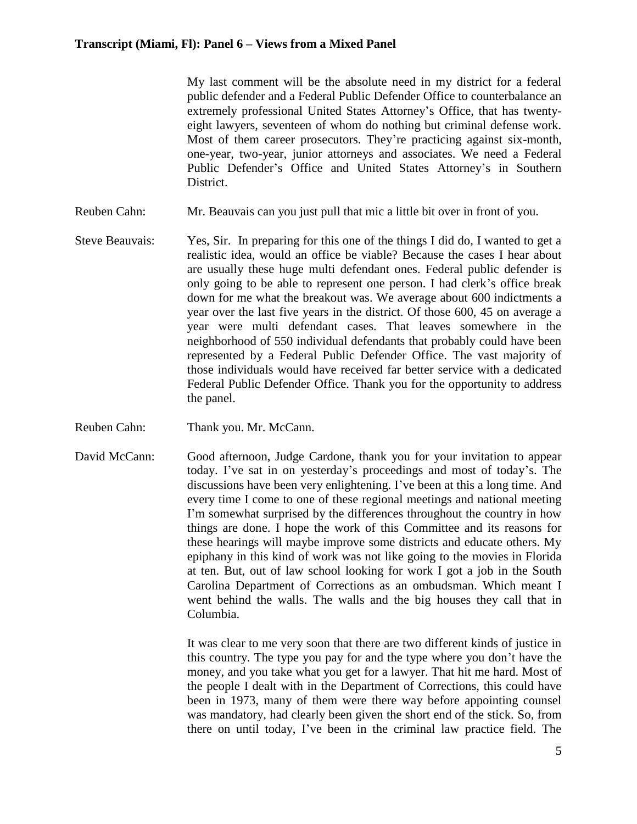My last comment will be the absolute need in my district for a federal public defender and a Federal Public Defender Office to counterbalance an extremely professional United States Attorney's Office, that has twentyeight lawyers, seventeen of whom do nothing but criminal defense work. Most of them career prosecutors. They're practicing against six-month, one-year, two-year, junior attorneys and associates. We need a Federal Public Defender's Office and United States Attorney's in Southern District.

- Reuben Cahn: Mr. Beauvais can you just pull that mic a little bit over in front of you.
- Steve Beauvais: Yes, Sir. In preparing for this one of the things I did do, I wanted to get a realistic idea, would an office be viable? Because the cases I hear about are usually these huge multi defendant ones. Federal public defender is only going to be able to represent one person. I had clerk's office break down for me what the breakout was. We average about 600 indictments a year over the last five years in the district. Of those 600, 45 on average a year were multi defendant cases. That leaves somewhere in the neighborhood of 550 individual defendants that probably could have been represented by a Federal Public Defender Office. The vast majority of those individuals would have received far better service with a dedicated Federal Public Defender Office. Thank you for the opportunity to address the panel.
- Reuben Cahn: Thank you. Mr. McCann.
- David McCann: Good afternoon, Judge Cardone, thank you for your invitation to appear today. I've sat in on yesterday's proceedings and most of today's. The discussions have been very enlightening. I've been at this a long time. And every time I come to one of these regional meetings and national meeting I'm somewhat surprised by the differences throughout the country in how things are done. I hope the work of this Committee and its reasons for these hearings will maybe improve some districts and educate others. My epiphany in this kind of work was not like going to the movies in Florida at ten. But, out of law school looking for work I got a job in the South Carolina Department of Corrections as an ombudsman. Which meant I went behind the walls. The walls and the big houses they call that in Columbia.

It was clear to me very soon that there are two different kinds of justice in this country. The type you pay for and the type where you don't have the money, and you take what you get for a lawyer. That hit me hard. Most of the people I dealt with in the Department of Corrections, this could have been in 1973, many of them were there way before appointing counsel was mandatory, had clearly been given the short end of the stick. So, from there on until today, I've been in the criminal law practice field. The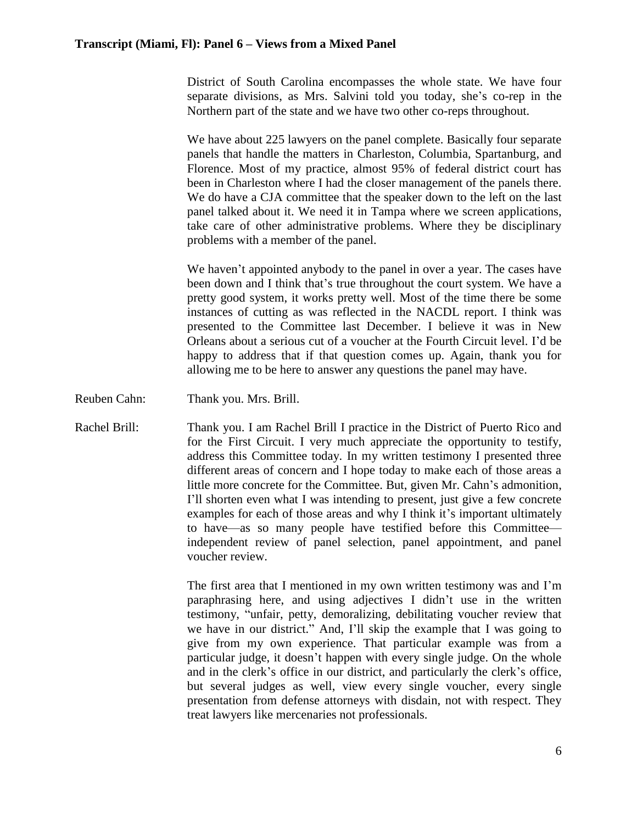District of South Carolina encompasses the whole state. We have four separate divisions, as Mrs. Salvini told you today, she's co-rep in the Northern part of the state and we have two other co-reps throughout.

We have about 225 lawyers on the panel complete. Basically four separate panels that handle the matters in Charleston, Columbia, Spartanburg, and Florence. Most of my practice, almost 95% of federal district court has been in Charleston where I had the closer management of the panels there. We do have a CJA committee that the speaker down to the left on the last panel talked about it. We need it in Tampa where we screen applications, take care of other administrative problems. Where they be disciplinary problems with a member of the panel.

We haven't appointed anybody to the panel in over a year. The cases have been down and I think that's true throughout the court system. We have a pretty good system, it works pretty well. Most of the time there be some instances of cutting as was reflected in the NACDL report. I think was presented to the Committee last December. I believe it was in New Orleans about a serious cut of a voucher at the Fourth Circuit level. I'd be happy to address that if that question comes up. Again, thank you for allowing me to be here to answer any questions the panel may have.

Reuben Cahn: Thank you. Mrs. Brill.

Rachel Brill: Thank you. I am Rachel Brill I practice in the District of Puerto Rico and for the First Circuit. I very much appreciate the opportunity to testify, address this Committee today. In my written testimony I presented three different areas of concern and I hope today to make each of those areas a little more concrete for the Committee. But, given Mr. Cahn's admonition, I'll shorten even what I was intending to present, just give a few concrete examples for each of those areas and why I think it's important ultimately to have—as so many people have testified before this Committee independent review of panel selection, panel appointment, and panel voucher review.

> The first area that I mentioned in my own written testimony was and I'm paraphrasing here, and using adjectives I didn't use in the written testimony, "unfair, petty, demoralizing, debilitating voucher review that we have in our district." And, I'll skip the example that I was going to give from my own experience. That particular example was from a particular judge, it doesn't happen with every single judge. On the whole and in the clerk's office in our district, and particularly the clerk's office, but several judges as well, view every single voucher, every single presentation from defense attorneys with disdain, not with respect. They treat lawyers like mercenaries not professionals.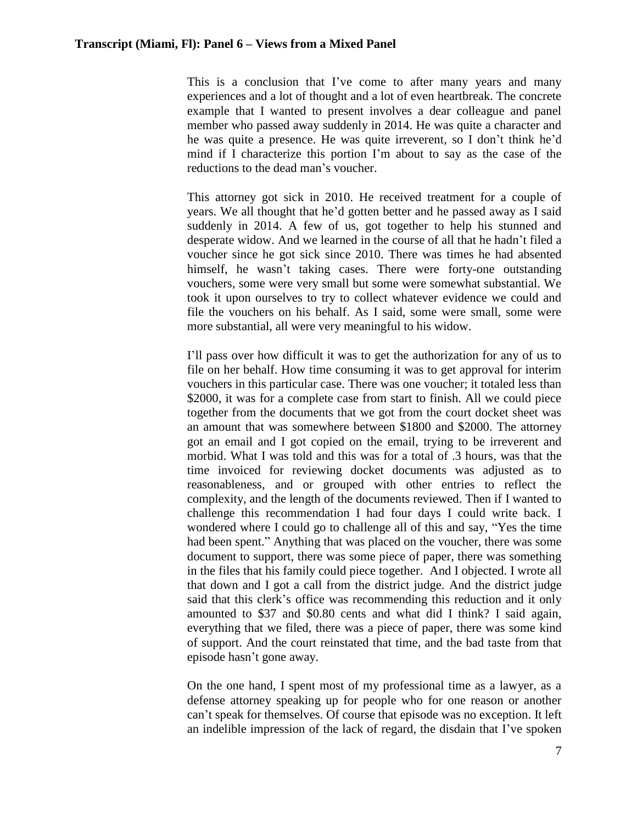This is a conclusion that I've come to after many years and many experiences and a lot of thought and a lot of even heartbreak. The concrete example that I wanted to present involves a dear colleague and panel member who passed away suddenly in 2014. He was quite a character and he was quite a presence. He was quite irreverent, so I don't think he'd mind if I characterize this portion I'm about to say as the case of the reductions to the dead man's voucher.

This attorney got sick in 2010. He received treatment for a couple of years. We all thought that he'd gotten better and he passed away as I said suddenly in 2014. A few of us, got together to help his stunned and desperate widow. And we learned in the course of all that he hadn't filed a voucher since he got sick since 2010. There was times he had absented himself, he wasn't taking cases. There were forty-one outstanding vouchers, some were very small but some were somewhat substantial. We took it upon ourselves to try to collect whatever evidence we could and file the vouchers on his behalf. As I said, some were small, some were more substantial, all were very meaningful to his widow.

I'll pass over how difficult it was to get the authorization for any of us to file on her behalf. How time consuming it was to get approval for interim vouchers in this particular case. There was one voucher; it totaled less than \$2000, it was for a complete case from start to finish. All we could piece together from the documents that we got from the court docket sheet was an amount that was somewhere between \$1800 and \$2000. The attorney got an email and I got copied on the email, trying to be irreverent and morbid. What I was told and this was for a total of .3 hours, was that the time invoiced for reviewing docket documents was adjusted as to reasonableness, and or grouped with other entries to reflect the complexity, and the length of the documents reviewed. Then if I wanted to challenge this recommendation I had four days I could write back. I wondered where I could go to challenge all of this and say, "Yes the time had been spent." Anything that was placed on the voucher, there was some document to support, there was some piece of paper, there was something in the files that his family could piece together. And I objected. I wrote all that down and I got a call from the district judge. And the district judge said that this clerk's office was recommending this reduction and it only amounted to \$37 and \$0.80 cents and what did I think? I said again, everything that we filed, there was a piece of paper, there was some kind of support. And the court reinstated that time, and the bad taste from that episode hasn't gone away.

On the one hand, I spent most of my professional time as a lawyer, as a defense attorney speaking up for people who for one reason or another can't speak for themselves. Of course that episode was no exception. It left an indelible impression of the lack of regard, the disdain that I've spoken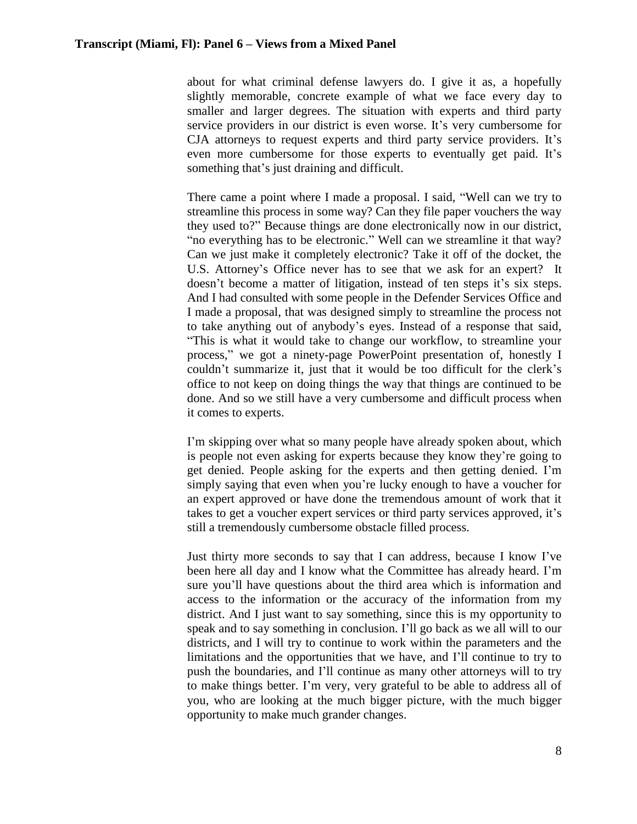about for what criminal defense lawyers do. I give it as, a hopefully slightly memorable, concrete example of what we face every day to smaller and larger degrees. The situation with experts and third party service providers in our district is even worse. It's very cumbersome for CJA attorneys to request experts and third party service providers. It's even more cumbersome for those experts to eventually get paid. It's something that's just draining and difficult.

There came a point where I made a proposal. I said, "Well can we try to streamline this process in some way? Can they file paper vouchers the way they used to?" Because things are done electronically now in our district, "no everything has to be electronic." Well can we streamline it that way? Can we just make it completely electronic? Take it off of the docket, the U.S. Attorney's Office never has to see that we ask for an expert? It doesn't become a matter of litigation, instead of ten steps it's six steps. And I had consulted with some people in the Defender Services Office and I made a proposal, that was designed simply to streamline the process not to take anything out of anybody's eyes. Instead of a response that said, "This is what it would take to change our workflow, to streamline your process," we got a ninety-page PowerPoint presentation of, honestly I couldn't summarize it, just that it would be too difficult for the clerk's office to not keep on doing things the way that things are continued to be done. And so we still have a very cumbersome and difficult process when it comes to experts.

I'm skipping over what so many people have already spoken about, which is people not even asking for experts because they know they're going to get denied. People asking for the experts and then getting denied. I'm simply saying that even when you're lucky enough to have a voucher for an expert approved or have done the tremendous amount of work that it takes to get a voucher expert services or third party services approved, it's still a tremendously cumbersome obstacle filled process.

Just thirty more seconds to say that I can address, because I know I've been here all day and I know what the Committee has already heard. I'm sure you'll have questions about the third area which is information and access to the information or the accuracy of the information from my district. And I just want to say something, since this is my opportunity to speak and to say something in conclusion. I'll go back as we all will to our districts, and I will try to continue to work within the parameters and the limitations and the opportunities that we have, and I'll continue to try to push the boundaries, and I'll continue as many other attorneys will to try to make things better. I'm very, very grateful to be able to address all of you, who are looking at the much bigger picture, with the much bigger opportunity to make much grander changes.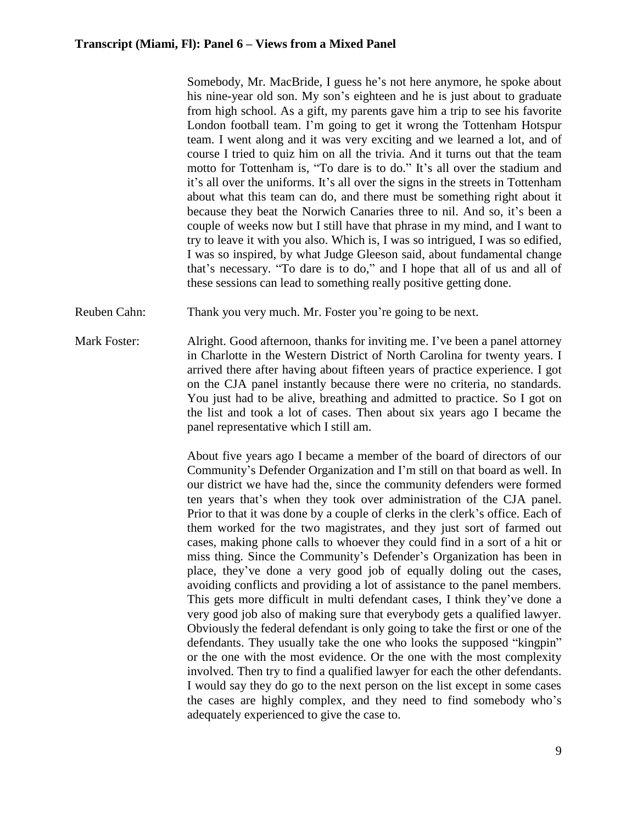Somebody, Mr. MacBride, I guess he's not here anymore, he spoke about his nine-year old son. My son's eighteen and he is just about to graduate from high school. As a gift, my parents gave him a trip to see his favorite London football team. I'm going to get it wrong the Tottenham Hotspur team. I went along and it was very exciting and we learned a lot, and of course I tried to quiz him on all the trivia. And it turns out that the team motto for Tottenham is, "To dare is to do." It's all over the stadium and it's all over the uniforms. It's all over the signs in the streets in Tottenham about what this team can do, and there must be something right about it because they beat the Norwich Canaries three to nil. And so, it's been a couple of weeks now but I still have that phrase in my mind, and I want to try to leave it with you also. Which is, I was so intrigued, I was so edified, I was so inspired, by what Judge Gleeson said, about fundamental change that's necessary. "To dare is to do," and I hope that all of us and all of these sessions can lead to something really positive getting done.

- Reuben Cahn: Thank you very much. Mr. Foster you're going to be next.
- Mark Foster: Alright. Good afternoon, thanks for inviting me. I've been a panel attorney in Charlotte in the Western District of North Carolina for twenty years. I arrived there after having about fifteen years of practice experience. I got on the CJA panel instantly because there were no criteria, no standards. You just had to be alive, breathing and admitted to practice. So I got on the list and took a lot of cases. Then about six years ago I became the panel representative which I still am.

About five years ago I became a member of the board of directors of our Community's Defender Organization and I'm still on that board as well. In our district we have had the, since the community defenders were formed ten years that's when they took over administration of the CJA panel. Prior to that it was done by a couple of clerks in the clerk's office. Each of them worked for the two magistrates, and they just sort of farmed out cases, making phone calls to whoever they could find in a sort of a hit or miss thing. Since the Community's Defender's Organization has been in place, they've done a very good job of equally doling out the cases, avoiding conflicts and providing a lot of assistance to the panel members. This gets more difficult in multi defendant cases, I think they've done a very good job also of making sure that everybody gets a qualified lawyer. Obviously the federal defendant is only going to take the first or one of the defendants. They usually take the one who looks the supposed "kingpin" or the one with the most evidence. Or the one with the most complexity involved. Then try to find a qualified lawyer for each the other defendants. I would say they do go to the next person on the list except in some cases the cases are highly complex, and they need to find somebody who's adequately experienced to give the case to.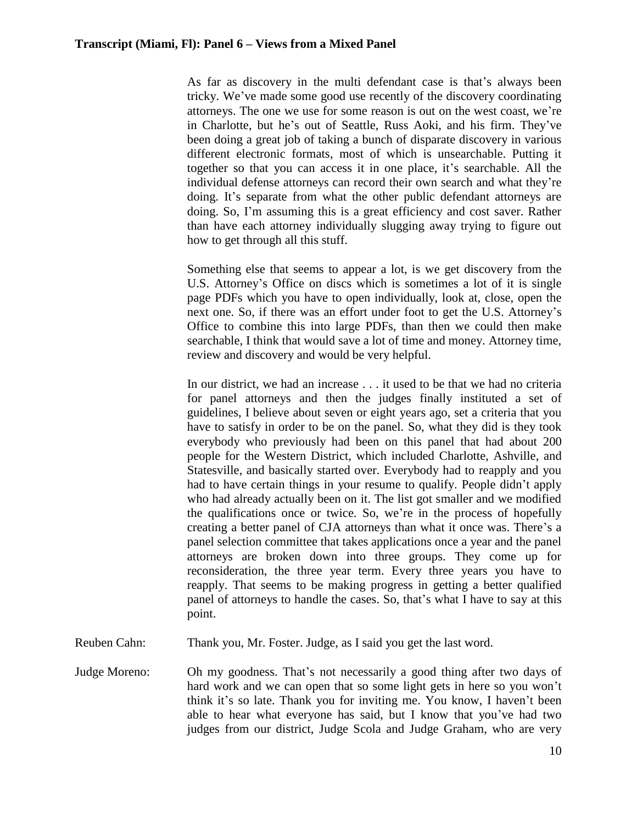As far as discovery in the multi defendant case is that's always been tricky. We've made some good use recently of the discovery coordinating attorneys. The one we use for some reason is out on the west coast, we're in Charlotte, but he's out of Seattle, Russ Aoki, and his firm. They've been doing a great job of taking a bunch of disparate discovery in various different electronic formats, most of which is unsearchable. Putting it together so that you can access it in one place, it's searchable. All the individual defense attorneys can record their own search and what they're doing. It's separate from what the other public defendant attorneys are doing. So, I'm assuming this is a great efficiency and cost saver. Rather than have each attorney individually slugging away trying to figure out how to get through all this stuff.

Something else that seems to appear a lot, is we get discovery from the U.S. Attorney's Office on discs which is sometimes a lot of it is single page PDFs which you have to open individually, look at, close, open the next one. So, if there was an effort under foot to get the U.S. Attorney's Office to combine this into large PDFs, than then we could then make searchable, I think that would save a lot of time and money. Attorney time, review and discovery and would be very helpful.

In our district, we had an increase . . . it used to be that we had no criteria for panel attorneys and then the judges finally instituted a set of guidelines, I believe about seven or eight years ago, set a criteria that you have to satisfy in order to be on the panel. So, what they did is they took everybody who previously had been on this panel that had about 200 people for the Western District, which included Charlotte, Ashville, and Statesville, and basically started over. Everybody had to reapply and you had to have certain things in your resume to qualify. People didn't apply who had already actually been on it. The list got smaller and we modified the qualifications once or twice. So, we're in the process of hopefully creating a better panel of CJA attorneys than what it once was. There's a panel selection committee that takes applications once a year and the panel attorneys are broken down into three groups. They come up for reconsideration, the three year term. Every three years you have to reapply. That seems to be making progress in getting a better qualified panel of attorneys to handle the cases. So, that's what I have to say at this point.

- Reuben Cahn: Thank you, Mr. Foster. Judge, as I said you get the last word.
- Judge Moreno: Oh my goodness. That's not necessarily a good thing after two days of hard work and we can open that so some light gets in here so you won't think it's so late. Thank you for inviting me. You know, I haven't been able to hear what everyone has said, but I know that you've had two judges from our district, Judge Scola and Judge Graham, who are very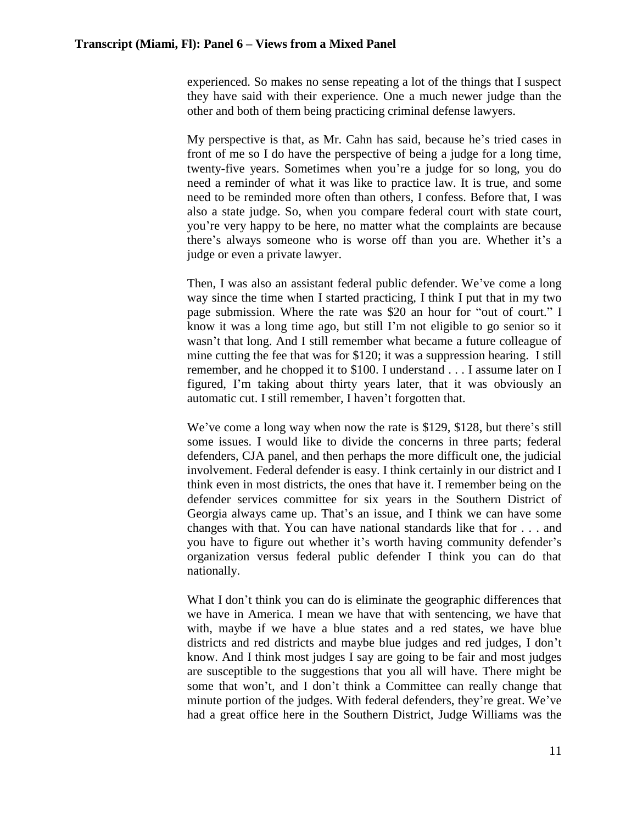experienced. So makes no sense repeating a lot of the things that I suspect they have said with their experience. One a much newer judge than the other and both of them being practicing criminal defense lawyers.

My perspective is that, as Mr. Cahn has said, because he's tried cases in front of me so I do have the perspective of being a judge for a long time, twenty-five years. Sometimes when you're a judge for so long, you do need a reminder of what it was like to practice law. It is true, and some need to be reminded more often than others, I confess. Before that, I was also a state judge. So, when you compare federal court with state court, you're very happy to be here, no matter what the complaints are because there's always someone who is worse off than you are. Whether it's a judge or even a private lawyer.

Then, I was also an assistant federal public defender. We've come a long way since the time when I started practicing, I think I put that in my two page submission. Where the rate was \$20 an hour for "out of court." I know it was a long time ago, but still I'm not eligible to go senior so it wasn't that long. And I still remember what became a future colleague of mine cutting the fee that was for \$120; it was a suppression hearing. I still remember, and he chopped it to \$100. I understand . . . I assume later on I figured, I'm taking about thirty years later, that it was obviously an automatic cut. I still remember, I haven't forgotten that.

We've come a long way when now the rate is \$129, \$128, but there's still some issues. I would like to divide the concerns in three parts; federal defenders, CJA panel, and then perhaps the more difficult one, the judicial involvement. Federal defender is easy. I think certainly in our district and I think even in most districts, the ones that have it. I remember being on the defender services committee for six years in the Southern District of Georgia always came up. That's an issue, and I think we can have some changes with that. You can have national standards like that for . . . and you have to figure out whether it's worth having community defender's organization versus federal public defender I think you can do that nationally.

What I don't think you can do is eliminate the geographic differences that we have in America. I mean we have that with sentencing, we have that with, maybe if we have a blue states and a red states, we have blue districts and red districts and maybe blue judges and red judges, I don't know. And I think most judges I say are going to be fair and most judges are susceptible to the suggestions that you all will have. There might be some that won't, and I don't think a Committee can really change that minute portion of the judges. With federal defenders, they're great. We've had a great office here in the Southern District, Judge Williams was the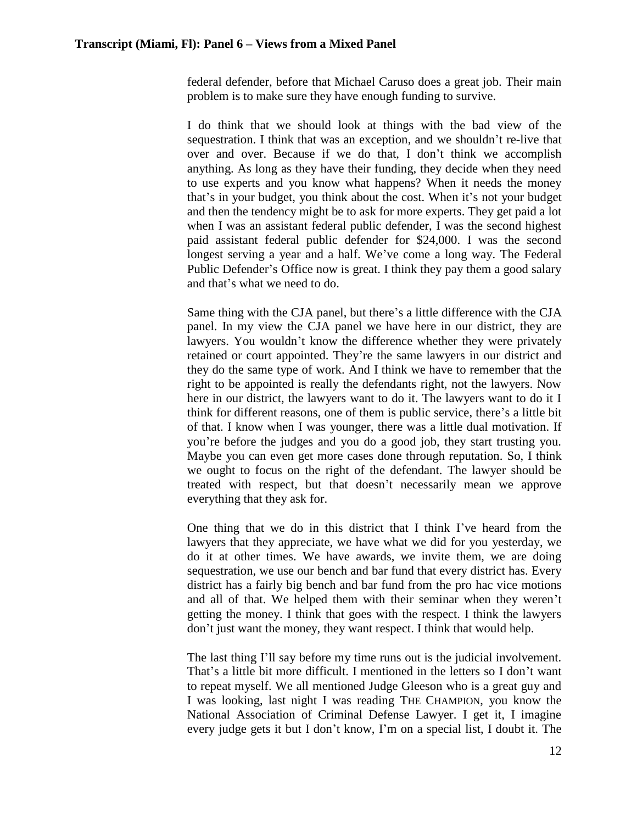federal defender, before that Michael Caruso does a great job. Their main problem is to make sure they have enough funding to survive.

I do think that we should look at things with the bad view of the sequestration. I think that was an exception, and we shouldn't re-live that over and over. Because if we do that, I don't think we accomplish anything. As long as they have their funding, they decide when they need to use experts and you know what happens? When it needs the money that's in your budget, you think about the cost. When it's not your budget and then the tendency might be to ask for more experts. They get paid a lot when I was an assistant federal public defender, I was the second highest paid assistant federal public defender for \$24,000. I was the second longest serving a year and a half. We've come a long way. The Federal Public Defender's Office now is great. I think they pay them a good salary and that's what we need to do.

Same thing with the CJA panel, but there's a little difference with the CJA panel. In my view the CJA panel we have here in our district, they are lawyers. You wouldn't know the difference whether they were privately retained or court appointed. They're the same lawyers in our district and they do the same type of work. And I think we have to remember that the right to be appointed is really the defendants right, not the lawyers. Now here in our district, the lawyers want to do it. The lawyers want to do it I think for different reasons, one of them is public service, there's a little bit of that. I know when I was younger, there was a little dual motivation. If you're before the judges and you do a good job, they start trusting you. Maybe you can even get more cases done through reputation. So, I think we ought to focus on the right of the defendant. The lawyer should be treated with respect, but that doesn't necessarily mean we approve everything that they ask for.

One thing that we do in this district that I think I've heard from the lawyers that they appreciate, we have what we did for you yesterday, we do it at other times. We have awards, we invite them, we are doing sequestration, we use our bench and bar fund that every district has. Every district has a fairly big bench and bar fund from the pro hac vice motions and all of that. We helped them with their seminar when they weren't getting the money. I think that goes with the respect. I think the lawyers don't just want the money, they want respect. I think that would help.

The last thing I'll say before my time runs out is the judicial involvement. That's a little bit more difficult. I mentioned in the letters so I don't want to repeat myself. We all mentioned Judge Gleeson who is a great guy and I was looking, last night I was reading THE CHAMPION, you know the National Association of Criminal Defense Lawyer. I get it, I imagine every judge gets it but I don't know, I'm on a special list, I doubt it. The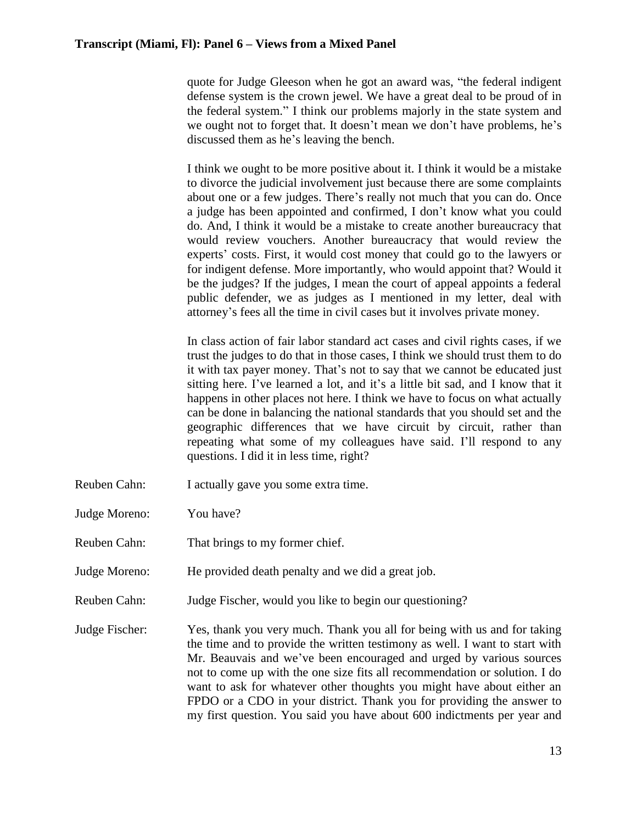quote for Judge Gleeson when he got an award was, "the federal indigent defense system is the crown jewel. We have a great deal to be proud of in the federal system." I think our problems majorly in the state system and we ought not to forget that. It doesn't mean we don't have problems, he's discussed them as he's leaving the bench.

I think we ought to be more positive about it. I think it would be a mistake to divorce the judicial involvement just because there are some complaints about one or a few judges. There's really not much that you can do. Once a judge has been appointed and confirmed, I don't know what you could do. And, I think it would be a mistake to create another bureaucracy that would review vouchers. Another bureaucracy that would review the experts' costs. First, it would cost money that could go to the lawyers or for indigent defense. More importantly, who would appoint that? Would it be the judges? If the judges, I mean the court of appeal appoints a federal public defender, we as judges as I mentioned in my letter, deal with attorney's fees all the time in civil cases but it involves private money.

In class action of fair labor standard act cases and civil rights cases, if we trust the judges to do that in those cases, I think we should trust them to do it with tax payer money. That's not to say that we cannot be educated just sitting here. I've learned a lot, and it's a little bit sad, and I know that it happens in other places not here. I think we have to focus on what actually can be done in balancing the national standards that you should set and the geographic differences that we have circuit by circuit, rather than repeating what some of my colleagues have said. I'll respond to any questions. I did it in less time, right?

- Reuben Cahn: I actually gave you some extra time.
- Judge Moreno: You have?
- Reuben Cahn: That brings to my former chief.
- Judge Moreno: He provided death penalty and we did a great job.
- Reuben Cahn: Judge Fischer, would you like to begin our questioning?
- Judge Fischer: Yes, thank you very much. Thank you all for being with us and for taking the time and to provide the written testimony as well. I want to start with Mr. Beauvais and we've been encouraged and urged by various sources not to come up with the one size fits all recommendation or solution. I do want to ask for whatever other thoughts you might have about either an FPDO or a CDO in your district. Thank you for providing the answer to my first question. You said you have about 600 indictments per year and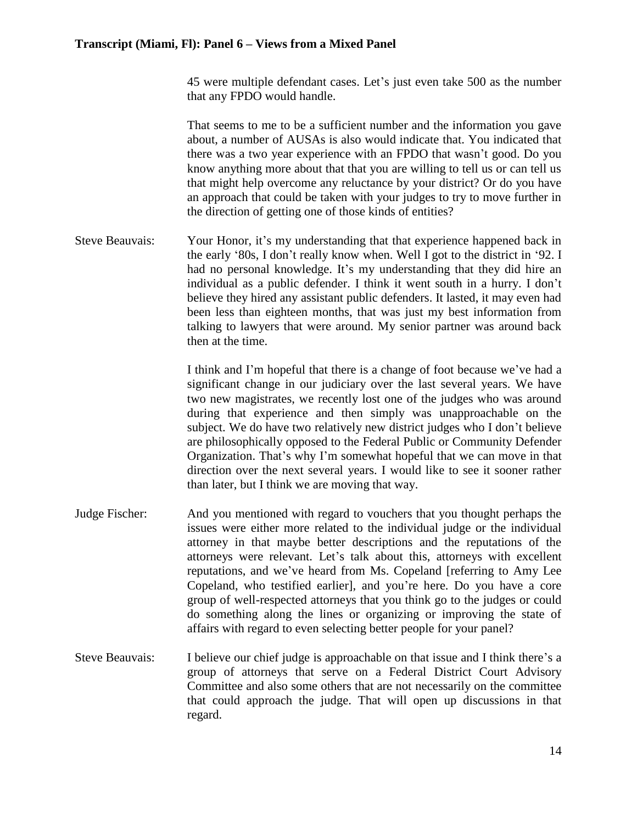45 were multiple defendant cases. Let's just even take 500 as the number that any FPDO would handle.

That seems to me to be a sufficient number and the information you gave about, a number of AUSAs is also would indicate that. You indicated that there was a two year experience with an FPDO that wasn't good. Do you know anything more about that that you are willing to tell us or can tell us that might help overcome any reluctance by your district? Or do you have an approach that could be taken with your judges to try to move further in the direction of getting one of those kinds of entities?

Steve Beauvais: Your Honor, it's my understanding that that experience happened back in the early '80s, I don't really know when. Well I got to the district in '92. I had no personal knowledge. It's my understanding that they did hire an individual as a public defender. I think it went south in a hurry. I don't believe they hired any assistant public defenders. It lasted, it may even had been less than eighteen months, that was just my best information from talking to lawyers that were around. My senior partner was around back then at the time.

> I think and I'm hopeful that there is a change of foot because we've had a significant change in our judiciary over the last several years. We have two new magistrates, we recently lost one of the judges who was around during that experience and then simply was unapproachable on the subject. We do have two relatively new district judges who I don't believe are philosophically opposed to the Federal Public or Community Defender Organization. That's why I'm somewhat hopeful that we can move in that direction over the next several years. I would like to see it sooner rather than later, but I think we are moving that way.

- Judge Fischer: And you mentioned with regard to vouchers that you thought perhaps the issues were either more related to the individual judge or the individual attorney in that maybe better descriptions and the reputations of the attorneys were relevant. Let's talk about this, attorneys with excellent reputations, and we've heard from Ms. Copeland [referring to Amy Lee Copeland, who testified earlier], and you're here. Do you have a core group of well-respected attorneys that you think go to the judges or could do something along the lines or organizing or improving the state of affairs with regard to even selecting better people for your panel?
- Steve Beauvais: I believe our chief judge is approachable on that issue and I think there's a group of attorneys that serve on a Federal District Court Advisory Committee and also some others that are not necessarily on the committee that could approach the judge. That will open up discussions in that regard.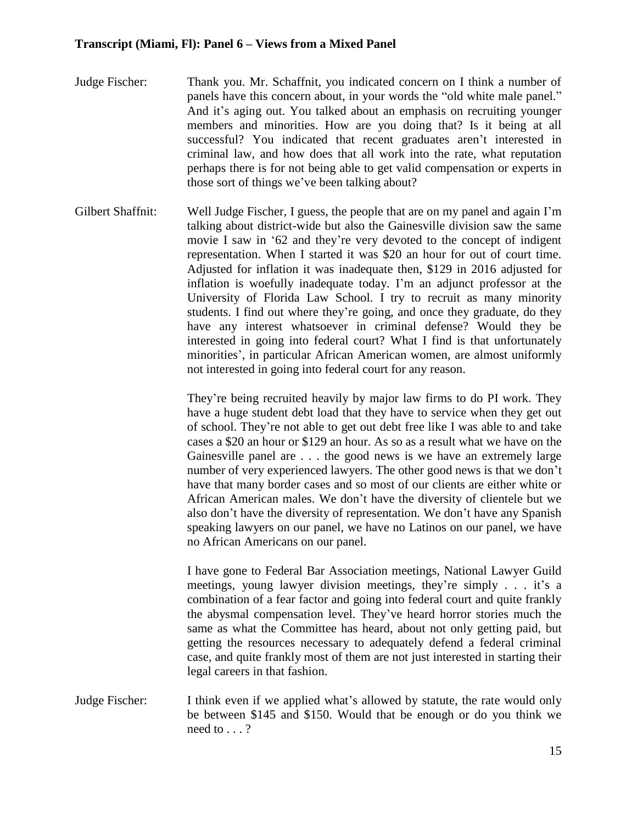- Judge Fischer: Thank you. Mr. Schaffnit, you indicated concern on I think a number of panels have this concern about, in your words the "old white male panel." And it's aging out. You talked about an emphasis on recruiting younger members and minorities. How are you doing that? Is it being at all successful? You indicated that recent graduates aren't interested in criminal law, and how does that all work into the rate, what reputation perhaps there is for not being able to get valid compensation or experts in those sort of things we've been talking about?
- Gilbert Shaffnit: Well Judge Fischer, I guess, the people that are on my panel and again I'm talking about district-wide but also the Gainesville division saw the same movie I saw in '62 and they're very devoted to the concept of indigent representation. When I started it was \$20 an hour for out of court time. Adjusted for inflation it was inadequate then, \$129 in 2016 adjusted for inflation is woefully inadequate today. I'm an adjunct professor at the University of Florida Law School. I try to recruit as many minority students. I find out where they're going, and once they graduate, do they have any interest whatsoever in criminal defense? Would they be interested in going into federal court? What I find is that unfortunately minorities', in particular African American women, are almost uniformly not interested in going into federal court for any reason.

They're being recruited heavily by major law firms to do PI work. They have a huge student debt load that they have to service when they get out of school. They're not able to get out debt free like I was able to and take cases a \$20 an hour or \$129 an hour. As so as a result what we have on the Gainesville panel are . . . the good news is we have an extremely large number of very experienced lawyers. The other good news is that we don't have that many border cases and so most of our clients are either white or African American males. We don't have the diversity of clientele but we also don't have the diversity of representation. We don't have any Spanish speaking lawyers on our panel, we have no Latinos on our panel, we have no African Americans on our panel.

I have gone to Federal Bar Association meetings, National Lawyer Guild meetings, young lawyer division meetings, they're simply . . . it's a combination of a fear factor and going into federal court and quite frankly the abysmal compensation level. They've heard horror stories much the same as what the Committee has heard, about not only getting paid, but getting the resources necessary to adequately defend a federal criminal case, and quite frankly most of them are not just interested in starting their legal careers in that fashion.

Judge Fischer: I think even if we applied what's allowed by statute, the rate would only be between \$145 and \$150. Would that be enough or do you think we need to . . . ?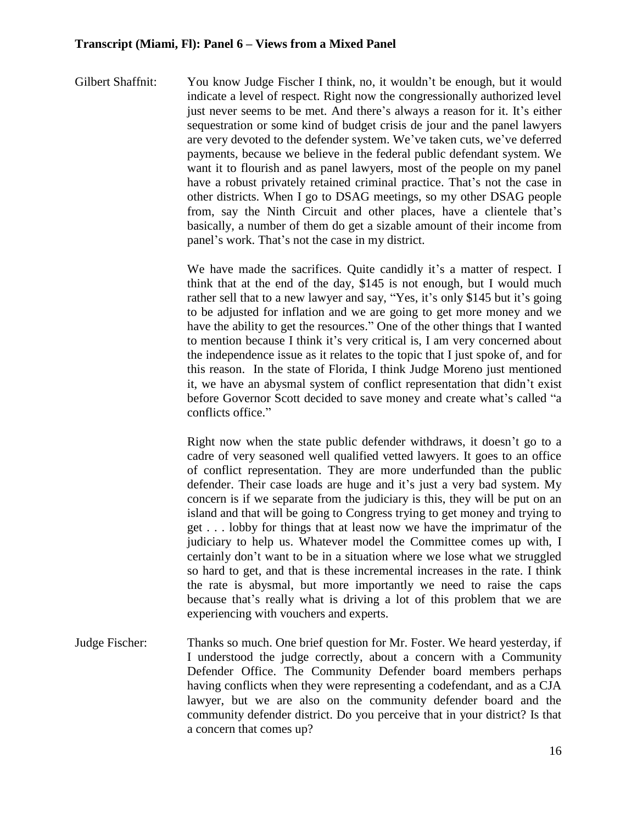Gilbert Shaffnit: You know Judge Fischer I think, no, it wouldn't be enough, but it would indicate a level of respect. Right now the congressionally authorized level just never seems to be met. And there's always a reason for it. It's either sequestration or some kind of budget crisis de jour and the panel lawyers are very devoted to the defender system. We've taken cuts, we've deferred payments, because we believe in the federal public defendant system. We want it to flourish and as panel lawyers, most of the people on my panel have a robust privately retained criminal practice. That's not the case in other districts. When I go to DSAG meetings, so my other DSAG people from, say the Ninth Circuit and other places, have a clientele that's basically, a number of them do get a sizable amount of their income from panel's work. That's not the case in my district.

> We have made the sacrifices. Quite candidly it's a matter of respect. I think that at the end of the day, \$145 is not enough, but I would much rather sell that to a new lawyer and say, "Yes, it's only \$145 but it's going to be adjusted for inflation and we are going to get more money and we have the ability to get the resources." One of the other things that I wanted to mention because I think it's very critical is, I am very concerned about the independence issue as it relates to the topic that I just spoke of, and for this reason. In the state of Florida, I think Judge Moreno just mentioned it, we have an abysmal system of conflict representation that didn't exist before Governor Scott decided to save money and create what's called "a conflicts office."

> Right now when the state public defender withdraws, it doesn't go to a cadre of very seasoned well qualified vetted lawyers. It goes to an office of conflict representation. They are more underfunded than the public defender. Their case loads are huge and it's just a very bad system. My concern is if we separate from the judiciary is this, they will be put on an island and that will be going to Congress trying to get money and trying to get . . . lobby for things that at least now we have the imprimatur of the judiciary to help us. Whatever model the Committee comes up with, I certainly don't want to be in a situation where we lose what we struggled so hard to get, and that is these incremental increases in the rate. I think the rate is abysmal, but more importantly we need to raise the caps because that's really what is driving a lot of this problem that we are experiencing with vouchers and experts.

Judge Fischer: Thanks so much. One brief question for Mr. Foster. We heard yesterday, if I understood the judge correctly, about a concern with a Community Defender Office. The Community Defender board members perhaps having conflicts when they were representing a codefendant, and as a CJA lawyer, but we are also on the community defender board and the community defender district. Do you perceive that in your district? Is that a concern that comes up?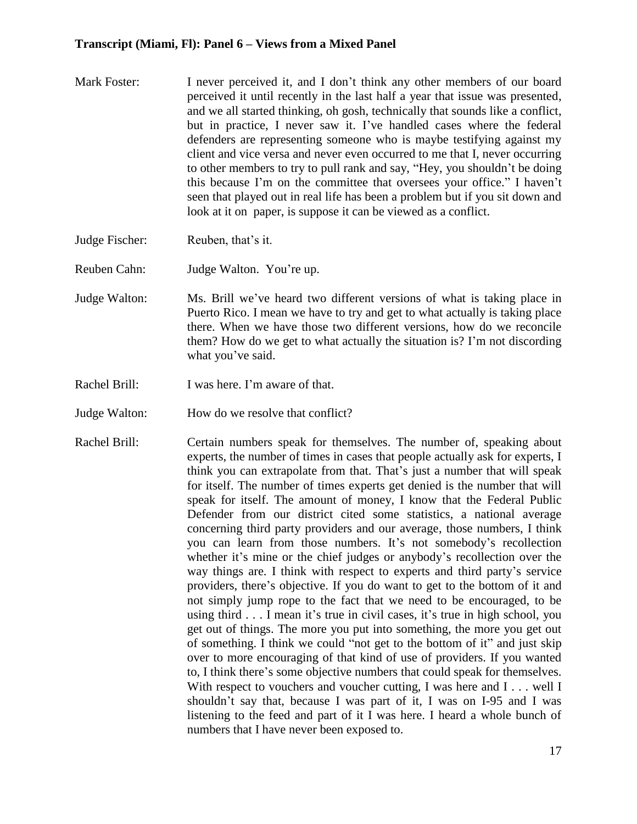- Mark Foster: I never perceived it, and I don't think any other members of our board perceived it until recently in the last half a year that issue was presented, and we all started thinking, oh gosh, technically that sounds like a conflict, but in practice, I never saw it. I've handled cases where the federal defenders are representing someone who is maybe testifying against my client and vice versa and never even occurred to me that I, never occurring to other members to try to pull rank and say, "Hey, you shouldn't be doing this because I'm on the committee that oversees your office." I haven't seen that played out in real life has been a problem but if you sit down and look at it on paper, is suppose it can be viewed as a conflict.
- Judge Fischer: Reuben, that's it.
- Reuben Cahn: Judge Walton. You're up.
- Judge Walton: Ms. Brill we've heard two different versions of what is taking place in Puerto Rico. I mean we have to try and get to what actually is taking place there. When we have those two different versions, how do we reconcile them? How do we get to what actually the situation is? I'm not discording what you've said.
- Rachel Brill: I was here. I'm aware of that.
- Judge Walton: How do we resolve that conflict?
- Rachel Brill: Certain numbers speak for themselves. The number of, speaking about experts, the number of times in cases that people actually ask for experts, I think you can extrapolate from that. That's just a number that will speak for itself. The number of times experts get denied is the number that will speak for itself. The amount of money, I know that the Federal Public Defender from our district cited some statistics, a national average concerning third party providers and our average, those numbers, I think you can learn from those numbers. It's not somebody's recollection whether it's mine or the chief judges or anybody's recollection over the way things are. I think with respect to experts and third party's service providers, there's objective. If you do want to get to the bottom of it and not simply jump rope to the fact that we need to be encouraged, to be using third . . . I mean it's true in civil cases, it's true in high school, you get out of things. The more you put into something, the more you get out of something. I think we could "not get to the bottom of it" and just skip over to more encouraging of that kind of use of providers. If you wanted to, I think there's some objective numbers that could speak for themselves. With respect to vouchers and voucher cutting, I was here and I . . . well I shouldn't say that, because I was part of it, I was on I-95 and I was listening to the feed and part of it I was here. I heard a whole bunch of numbers that I have never been exposed to.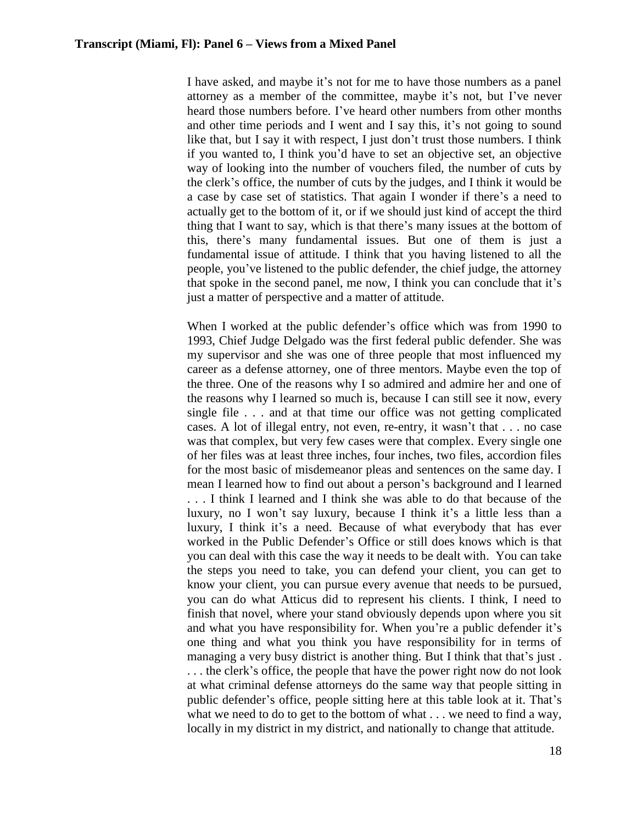I have asked, and maybe it's not for me to have those numbers as a panel attorney as a member of the committee, maybe it's not, but I've never heard those numbers before. I've heard other numbers from other months and other time periods and I went and I say this, it's not going to sound like that, but I say it with respect, I just don't trust those numbers. I think if you wanted to, I think you'd have to set an objective set, an objective way of looking into the number of vouchers filed, the number of cuts by the clerk's office, the number of cuts by the judges, and I think it would be a case by case set of statistics. That again I wonder if there's a need to actually get to the bottom of it, or if we should just kind of accept the third thing that I want to say, which is that there's many issues at the bottom of this, there's many fundamental issues. But one of them is just a fundamental issue of attitude. I think that you having listened to all the people, you've listened to the public defender, the chief judge, the attorney that spoke in the second panel, me now, I think you can conclude that it's just a matter of perspective and a matter of attitude.

When I worked at the public defender's office which was from 1990 to 1993, Chief Judge Delgado was the first federal public defender. She was my supervisor and she was one of three people that most influenced my career as a defense attorney, one of three mentors. Maybe even the top of the three. One of the reasons why I so admired and admire her and one of the reasons why I learned so much is, because I can still see it now, every single file . . . and at that time our office was not getting complicated cases. A lot of illegal entry, not even, re-entry, it wasn't that . . . no case was that complex, but very few cases were that complex. Every single one of her files was at least three inches, four inches, two files, accordion files for the most basic of misdemeanor pleas and sentences on the same day. I mean I learned how to find out about a person's background and I learned . . . I think I learned and I think she was able to do that because of the luxury, no I won't say luxury, because I think it's a little less than a luxury, I think it's a need. Because of what everybody that has ever worked in the Public Defender's Office or still does knows which is that you can deal with this case the way it needs to be dealt with. You can take the steps you need to take, you can defend your client, you can get to know your client, you can pursue every avenue that needs to be pursued, you can do what Atticus did to represent his clients. I think, I need to finish that novel, where your stand obviously depends upon where you sit and what you have responsibility for. When you're a public defender it's one thing and what you think you have responsibility for in terms of managing a very busy district is another thing. But I think that that's just. . . . the clerk's office, the people that have the power right now do not look at what criminal defense attorneys do the same way that people sitting in public defender's office, people sitting here at this table look at it. That's what we need to do to get to the bottom of what . . . we need to find a way, locally in my district in my district, and nationally to change that attitude.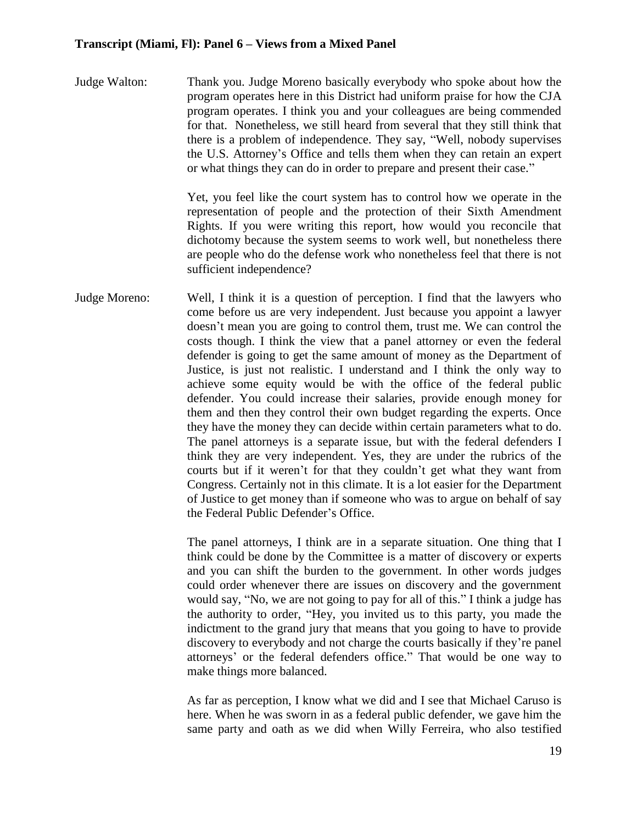Judge Walton: Thank you. Judge Moreno basically everybody who spoke about how the program operates here in this District had uniform praise for how the CJA program operates. I think you and your colleagues are being commended for that. Nonetheless, we still heard from several that they still think that there is a problem of independence. They say, "Well, nobody supervises the U.S. Attorney's Office and tells them when they can retain an expert or what things they can do in order to prepare and present their case."

> Yet, you feel like the court system has to control how we operate in the representation of people and the protection of their Sixth Amendment Rights. If you were writing this report, how would you reconcile that dichotomy because the system seems to work well, but nonetheless there are people who do the defense work who nonetheless feel that there is not sufficient independence?

Judge Moreno: Well, I think it is a question of perception. I find that the lawyers who come before us are very independent. Just because you appoint a lawyer doesn't mean you are going to control them, trust me. We can control the costs though. I think the view that a panel attorney or even the federal defender is going to get the same amount of money as the Department of Justice, is just not realistic. I understand and I think the only way to achieve some equity would be with the office of the federal public defender. You could increase their salaries, provide enough money for them and then they control their own budget regarding the experts. Once they have the money they can decide within certain parameters what to do. The panel attorneys is a separate issue, but with the federal defenders I think they are very independent. Yes, they are under the rubrics of the courts but if it weren't for that they couldn't get what they want from Congress. Certainly not in this climate. It is a lot easier for the Department of Justice to get money than if someone who was to argue on behalf of say the Federal Public Defender's Office.

> The panel attorneys, I think are in a separate situation. One thing that I think could be done by the Committee is a matter of discovery or experts and you can shift the burden to the government. In other words judges could order whenever there are issues on discovery and the government would say, "No, we are not going to pay for all of this." I think a judge has the authority to order, "Hey, you invited us to this party, you made the indictment to the grand jury that means that you going to have to provide discovery to everybody and not charge the courts basically if they're panel attorneys' or the federal defenders office." That would be one way to make things more balanced.

> As far as perception, I know what we did and I see that Michael Caruso is here. When he was sworn in as a federal public defender, we gave him the same party and oath as we did when Willy Ferreira, who also testified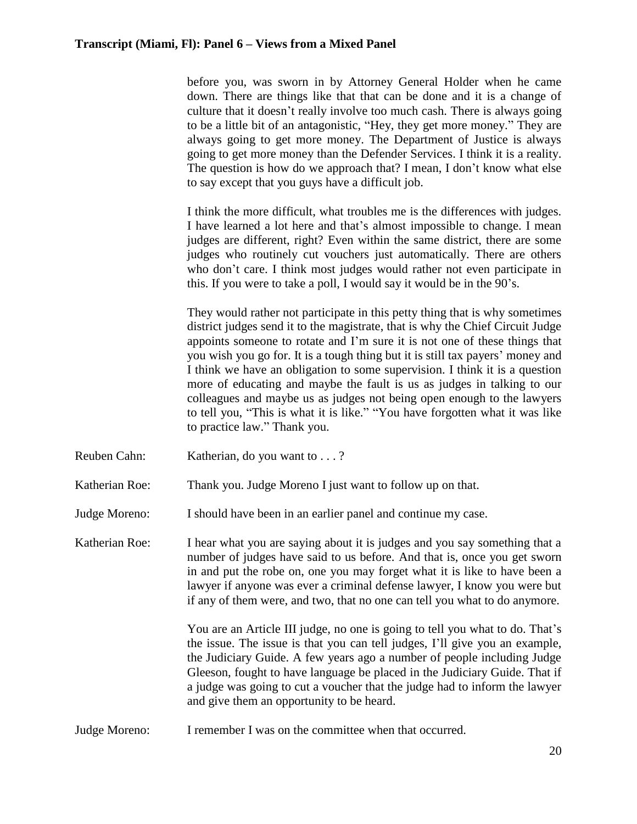before you, was sworn in by Attorney General Holder when he came down. There are things like that that can be done and it is a change of culture that it doesn't really involve too much cash. There is always going to be a little bit of an antagonistic, "Hey, they get more money." They are always going to get more money. The Department of Justice is always going to get more money than the Defender Services. I think it is a reality. The question is how do we approach that? I mean, I don't know what else to say except that you guys have a difficult job.

I think the more difficult, what troubles me is the differences with judges. I have learned a lot here and that's almost impossible to change. I mean judges are different, right? Even within the same district, there are some judges who routinely cut vouchers just automatically. There are others who don't care. I think most judges would rather not even participate in this. If you were to take a poll, I would say it would be in the 90's.

They would rather not participate in this petty thing that is why sometimes district judges send it to the magistrate, that is why the Chief Circuit Judge appoints someone to rotate and I'm sure it is not one of these things that you wish you go for. It is a tough thing but it is still tax payers' money and I think we have an obligation to some supervision. I think it is a question more of educating and maybe the fault is us as judges in talking to our colleagues and maybe us as judges not being open enough to the lawyers to tell you, "This is what it is like." "You have forgotten what it was like to practice law." Thank you.

Reuben Cahn: Katherian, do you want to . . . ?

Katherian Roe: Thank you. Judge Moreno I just want to follow up on that.

Judge Moreno: I should have been in an earlier panel and continue my case.

Katherian Roe: I hear what you are saying about it is judges and you say something that a number of judges have said to us before. And that is, once you get sworn in and put the robe on, one you may forget what it is like to have been a lawyer if anyone was ever a criminal defense lawyer, I know you were but if any of them were, and two, that no one can tell you what to do anymore.

> You are an Article III judge, no one is going to tell you what to do. That's the issue. The issue is that you can tell judges, I'll give you an example, the Judiciary Guide. A few years ago a number of people including Judge Gleeson, fought to have language be placed in the Judiciary Guide. That if a judge was going to cut a voucher that the judge had to inform the lawyer and give them an opportunity to be heard.

Judge Moreno: I remember I was on the committee when that occurred.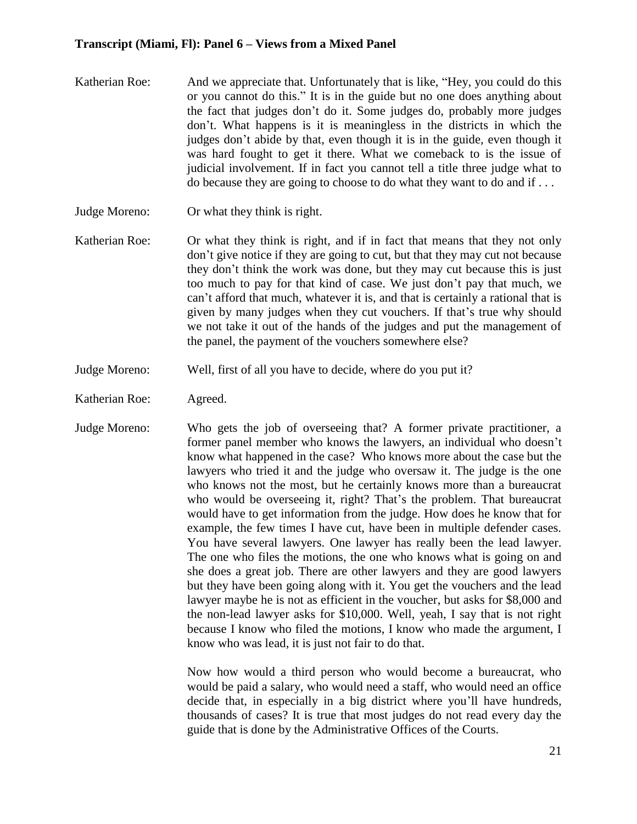- Katherian Roe: And we appreciate that. Unfortunately that is like, "Hey, you could do this or you cannot do this." It is in the guide but no one does anything about the fact that judges don't do it. Some judges do, probably more judges don't. What happens is it is meaningless in the districts in which the judges don't abide by that, even though it is in the guide, even though it was hard fought to get it there. What we comeback to is the issue of judicial involvement. If in fact you cannot tell a title three judge what to do because they are going to choose to do what they want to do and if . . .
- Judge Moreno: Or what they think is right.
- Katherian Roe: Or what they think is right, and if in fact that means that they not only don't give notice if they are going to cut, but that they may cut not because they don't think the work was done, but they may cut because this is just too much to pay for that kind of case. We just don't pay that much, we can't afford that much, whatever it is, and that is certainly a rational that is given by many judges when they cut vouchers. If that's true why should we not take it out of the hands of the judges and put the management of the panel, the payment of the vouchers somewhere else?
- Judge Moreno: Well, first of all you have to decide, where do you put it?
- Katherian Roe: Agreed.
- Judge Moreno: Who gets the job of overseeing that? A former private practitioner, a former panel member who knows the lawyers, an individual who doesn't know what happened in the case? Who knows more about the case but the lawyers who tried it and the judge who oversaw it. The judge is the one who knows not the most, but he certainly knows more than a bureaucrat who would be overseeing it, right? That's the problem. That bureaucrat would have to get information from the judge. How does he know that for example, the few times I have cut, have been in multiple defender cases. You have several lawyers. One lawyer has really been the lead lawyer. The one who files the motions, the one who knows what is going on and she does a great job. There are other lawyers and they are good lawyers but they have been going along with it. You get the vouchers and the lead lawyer maybe he is not as efficient in the voucher, but asks for \$8,000 and the non-lead lawyer asks for \$10,000. Well, yeah, I say that is not right because I know who filed the motions, I know who made the argument, I know who was lead, it is just not fair to do that.

Now how would a third person who would become a bureaucrat, who would be paid a salary, who would need a staff, who would need an office decide that, in especially in a big district where you'll have hundreds, thousands of cases? It is true that most judges do not read every day the guide that is done by the Administrative Offices of the Courts.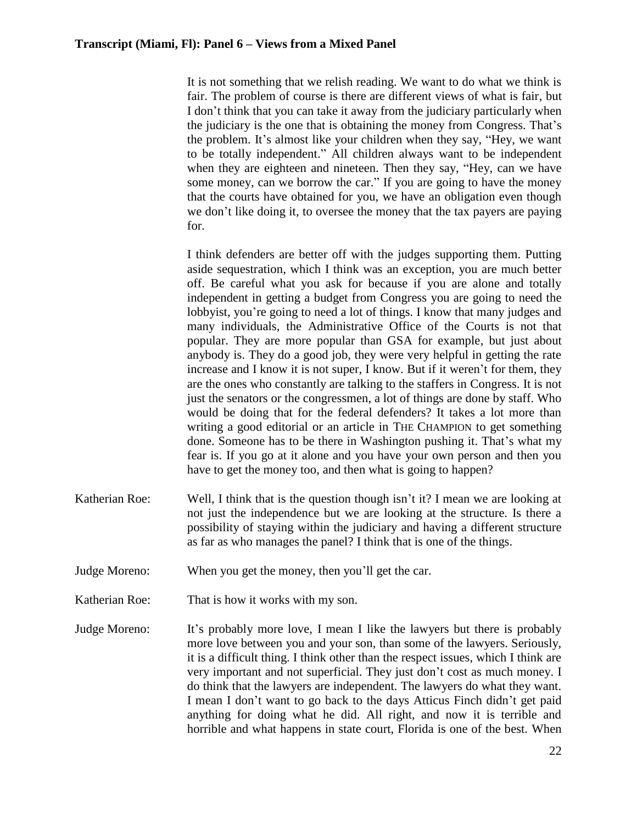It is not something that we relish reading. We want to do what we think is fair. The problem of course is there are different views of what is fair, but I don't think that you can take it away from the judiciary particularly when the judiciary is the one that is obtaining the money from Congress. That's the problem. It's almost like your children when they say, "Hey, we want to be totally independent." All children always want to be independent when they are eighteen and nineteen. Then they say, "Hey, can we have some money, can we borrow the car." If you are going to have the money that the courts have obtained for you, we have an obligation even though we don't like doing it, to oversee the money that the tax payers are paying for.

I think defenders are better off with the judges supporting them. Putting aside sequestration, which I think was an exception, you are much better off. Be careful what you ask for because if you are alone and totally independent in getting a budget from Congress you are going to need the lobbyist, you're going to need a lot of things. I know that many judges and many individuals, the Administrative Office of the Courts is not that popular. They are more popular than GSA for example, but just about anybody is. They do a good job, they were very helpful in getting the rate increase and I know it is not super, I know. But if it weren't for them, they are the ones who constantly are talking to the staffers in Congress. It is not just the senators or the congressmen, a lot of things are done by staff. Who would be doing that for the federal defenders? It takes a lot more than writing a good editorial or an article in THE CHAMPION to get something done. Someone has to be there in Washington pushing it. That's what my fear is. If you go at it alone and you have your own person and then you have to get the money too, and then what is going to happen?

- Katherian Roe: Well, I think that is the question though isn't it? I mean we are looking at not just the independence but we are looking at the structure. Is there a possibility of staying within the judiciary and having a different structure as far as who manages the panel? I think that is one of the things.
- Judge Moreno: When you get the money, then you'll get the car.
- Katherian Roe: That is how it works with my son.
- Judge Moreno: It's probably more love, I mean I like the lawyers but there is probably more love between you and your son, than some of the lawyers. Seriously, it is a difficult thing. I think other than the respect issues, which I think are very important and not superficial. They just don't cost as much money. I do think that the lawyers are independent. The lawyers do what they want. I mean I don't want to go back to the days Atticus Finch didn't get paid anything for doing what he did. All right, and now it is terrible and horrible and what happens in state court, Florida is one of the best. When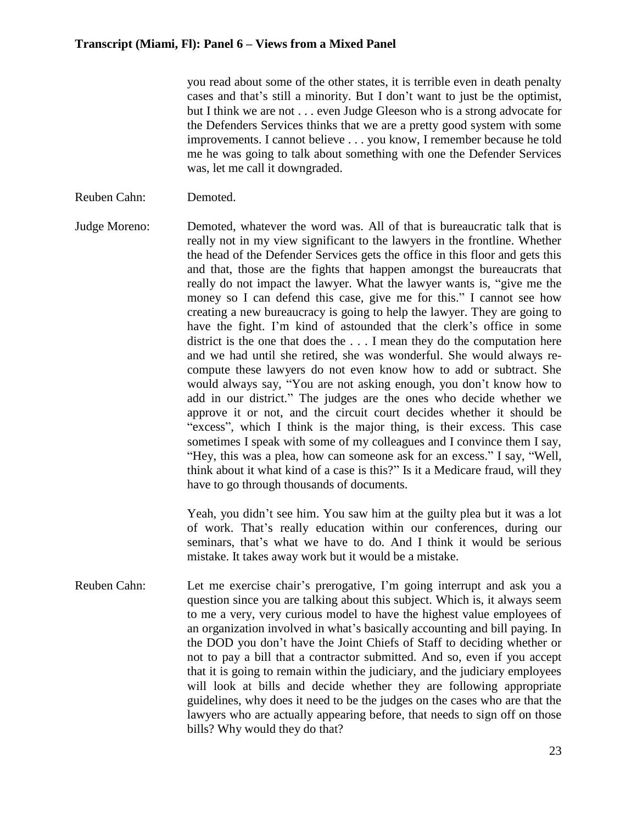you read about some of the other states, it is terrible even in death penalty cases and that's still a minority. But I don't want to just be the optimist, but I think we are not . . . even Judge Gleeson who is a strong advocate for the Defenders Services thinks that we are a pretty good system with some improvements. I cannot believe . . . you know, I remember because he told me he was going to talk about something with one the Defender Services was, let me call it downgraded.

- Reuben Cahn: Demoted.
- Judge Moreno: Demoted, whatever the word was. All of that is bureaucratic talk that is really not in my view significant to the lawyers in the frontline. Whether the head of the Defender Services gets the office in this floor and gets this and that, those are the fights that happen amongst the bureaucrats that really do not impact the lawyer. What the lawyer wants is, "give me the money so I can defend this case, give me for this." I cannot see how creating a new bureaucracy is going to help the lawyer. They are going to have the fight. I'm kind of astounded that the clerk's office in some district is the one that does the . . . I mean they do the computation here and we had until she retired, she was wonderful. She would always recompute these lawyers do not even know how to add or subtract. She would always say, "You are not asking enough, you don't know how to add in our district." The judges are the ones who decide whether we approve it or not, and the circuit court decides whether it should be "excess", which I think is the major thing, is their excess. This case sometimes I speak with some of my colleagues and I convince them I say, "Hey, this was a plea, how can someone ask for an excess." I say, "Well, think about it what kind of a case is this?" Is it a Medicare fraud, will they have to go through thousands of documents.

Yeah, you didn't see him. You saw him at the guilty plea but it was a lot of work. That's really education within our conferences, during our seminars, that's what we have to do. And I think it would be serious mistake. It takes away work but it would be a mistake.

Reuben Cahn: Let me exercise chair's prerogative, I'm going interrupt and ask you a question since you are talking about this subject. Which is, it always seem to me a very, very curious model to have the highest value employees of an organization involved in what's basically accounting and bill paying. In the DOD you don't have the Joint Chiefs of Staff to deciding whether or not to pay a bill that a contractor submitted. And so, even if you accept that it is going to remain within the judiciary, and the judiciary employees will look at bills and decide whether they are following appropriate guidelines, why does it need to be the judges on the cases who are that the lawyers who are actually appearing before, that needs to sign off on those bills? Why would they do that?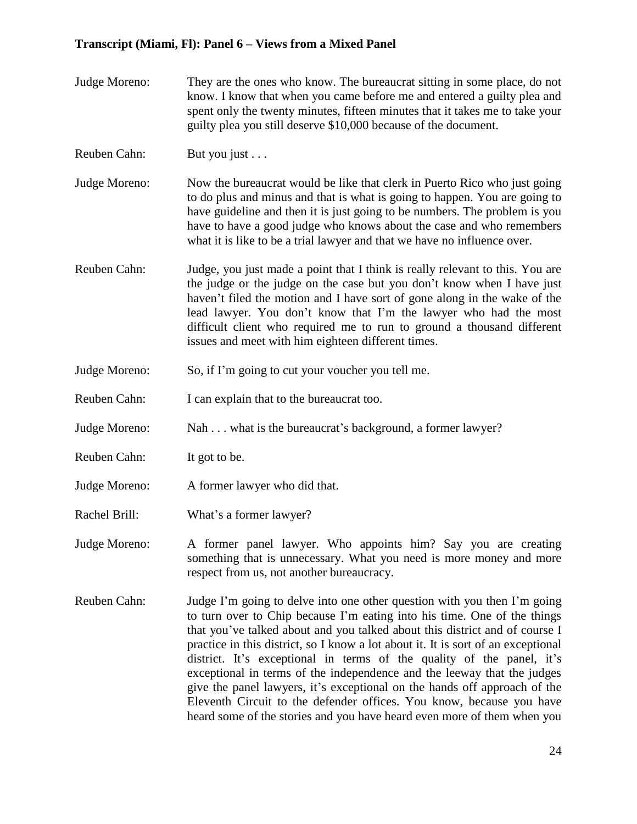- Judge Moreno: They are the ones who know. The bureaucrat sitting in some place, do not know. I know that when you came before me and entered a guilty plea and spent only the twenty minutes, fifteen minutes that it takes me to take your guilty plea you still deserve \$10,000 because of the document.
- Reuben Cahn: But you just . . .
- Judge Moreno: Now the bureaucrat would be like that clerk in Puerto Rico who just going to do plus and minus and that is what is going to happen. You are going to have guideline and then it is just going to be numbers. The problem is you have to have a good judge who knows about the case and who remembers what it is like to be a trial lawyer and that we have no influence over.
- Reuben Cahn: Judge, you just made a point that I think is really relevant to this. You are the judge or the judge on the case but you don't know when I have just haven't filed the motion and I have sort of gone along in the wake of the lead lawyer. You don't know that I'm the lawyer who had the most difficult client who required me to run to ground a thousand different issues and meet with him eighteen different times.
- Judge Moreno: So, if I'm going to cut your voucher you tell me.
- Reuben Cahn: I can explain that to the bureaucrat too.
- Judge Moreno: Nah . . . what is the bureaucrat's background, a former lawyer?
- Reuben Cahn: It got to be.
- Judge Moreno: A former lawyer who did that.
- Rachel Brill: What's a former lawyer?
- Judge Moreno: A former panel lawyer. Who appoints him? Say you are creating something that is unnecessary. What you need is more money and more respect from us, not another bureaucracy.
- Reuben Cahn: Judge I'm going to delve into one other question with you then I'm going to turn over to Chip because I'm eating into his time. One of the things that you've talked about and you talked about this district and of course I practice in this district, so I know a lot about it. It is sort of an exceptional district. It's exceptional in terms of the quality of the panel, it's exceptional in terms of the independence and the leeway that the judges give the panel lawyers, it's exceptional on the hands off approach of the Eleventh Circuit to the defender offices. You know, because you have heard some of the stories and you have heard even more of them when you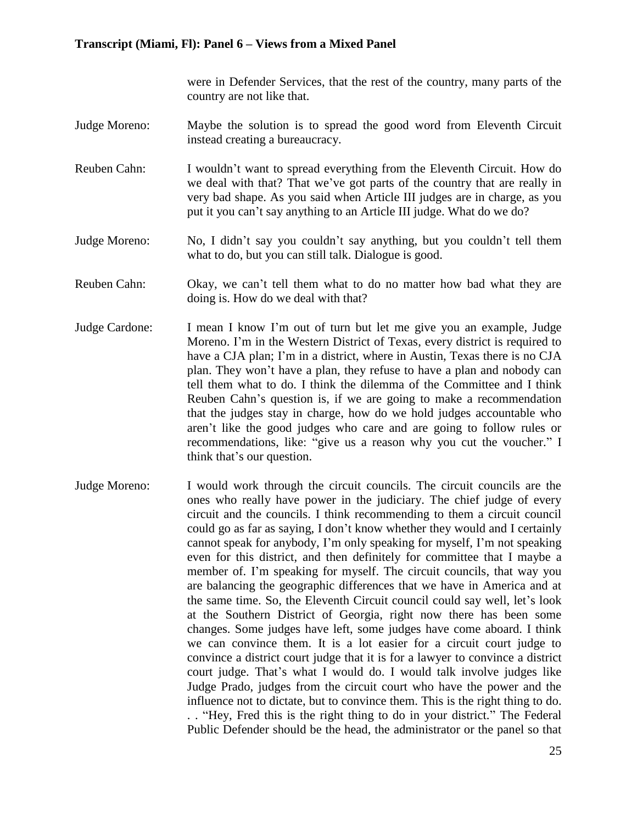were in Defender Services, that the rest of the country, many parts of the country are not like that.

- Judge Moreno: Maybe the solution is to spread the good word from Eleventh Circuit instead creating a bureaucracy.
- Reuben Cahn: I wouldn't want to spread everything from the Eleventh Circuit. How do we deal with that? That we've got parts of the country that are really in very bad shape. As you said when Article III judges are in charge, as you put it you can't say anything to an Article III judge. What do we do?
- Judge Moreno: No, I didn't say you couldn't say anything, but you couldn't tell them what to do, but you can still talk. Dialogue is good.
- Reuben Cahn: Okay, we can't tell them what to do no matter how bad what they are doing is. How do we deal with that?
- Judge Cardone: I mean I know I'm out of turn but let me give you an example, Judge Moreno. I'm in the Western District of Texas, every district is required to have a CJA plan; I'm in a district, where in Austin, Texas there is no CJA plan. They won't have a plan, they refuse to have a plan and nobody can tell them what to do. I think the dilemma of the Committee and I think Reuben Cahn's question is, if we are going to make a recommendation that the judges stay in charge, how do we hold judges accountable who aren't like the good judges who care and are going to follow rules or recommendations, like: "give us a reason why you cut the voucher." I think that's our question.
- Judge Moreno: I would work through the circuit councils. The circuit councils are the ones who really have power in the judiciary. The chief judge of every circuit and the councils. I think recommending to them a circuit council could go as far as saying, I don't know whether they would and I certainly cannot speak for anybody, I'm only speaking for myself, I'm not speaking even for this district, and then definitely for committee that I maybe a member of. I'm speaking for myself. The circuit councils, that way you are balancing the geographic differences that we have in America and at the same time. So, the Eleventh Circuit council could say well, let's look at the Southern District of Georgia, right now there has been some changes. Some judges have left, some judges have come aboard. I think we can convince them. It is a lot easier for a circuit court judge to convince a district court judge that it is for a lawyer to convince a district court judge. That's what I would do. I would talk involve judges like Judge Prado, judges from the circuit court who have the power and the influence not to dictate, but to convince them. This is the right thing to do. . . "Hey, Fred this is the right thing to do in your district." The Federal Public Defender should be the head, the administrator or the panel so that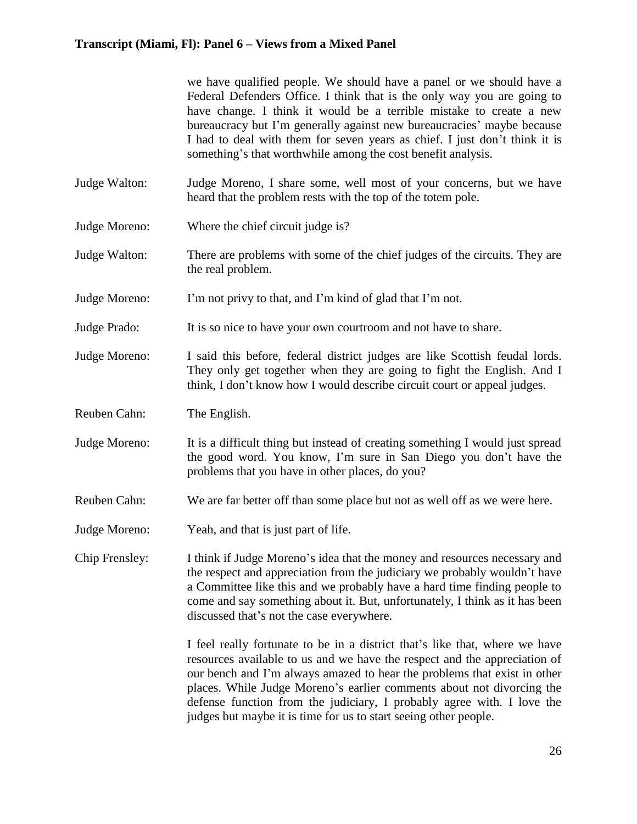we have qualified people. We should have a panel or we should have a Federal Defenders Office. I think that is the only way you are going to have change. I think it would be a terrible mistake to create a new bureaucracy but I'm generally against new bureaucracies' maybe because I had to deal with them for seven years as chief. I just don't think it is something's that worthwhile among the cost benefit analysis.

- Judge Walton: Judge Moreno, I share some, well most of your concerns, but we have heard that the problem rests with the top of the totem pole.
- Judge Moreno: Where the chief circuit judge is?
- Judge Walton: There are problems with some of the chief judges of the circuits. They are the real problem.
- Judge Moreno: I'm not privy to that, and I'm kind of glad that I'm not.
- Judge Prado: It is so nice to have your own courtroom and not have to share.
- Judge Moreno: I said this before, federal district judges are like Scottish feudal lords. They only get together when they are going to fight the English. And I think, I don't know how I would describe circuit court or appeal judges.
- Reuben Cahn: The English.
- Judge Moreno: It is a difficult thing but instead of creating something I would just spread the good word. You know, I'm sure in San Diego you don't have the problems that you have in other places, do you?
- Reuben Cahn: We are far better off than some place but not as well off as we were here.
- Judge Moreno: Yeah, and that is just part of life.
- Chip Frensley: I think if Judge Moreno's idea that the money and resources necessary and the respect and appreciation from the judiciary we probably wouldn't have a Committee like this and we probably have a hard time finding people to come and say something about it. But, unfortunately, I think as it has been discussed that's not the case everywhere.

I feel really fortunate to be in a district that's like that, where we have resources available to us and we have the respect and the appreciation of our bench and I'm always amazed to hear the problems that exist in other places. While Judge Moreno's earlier comments about not divorcing the defense function from the judiciary, I probably agree with. I love the judges but maybe it is time for us to start seeing other people.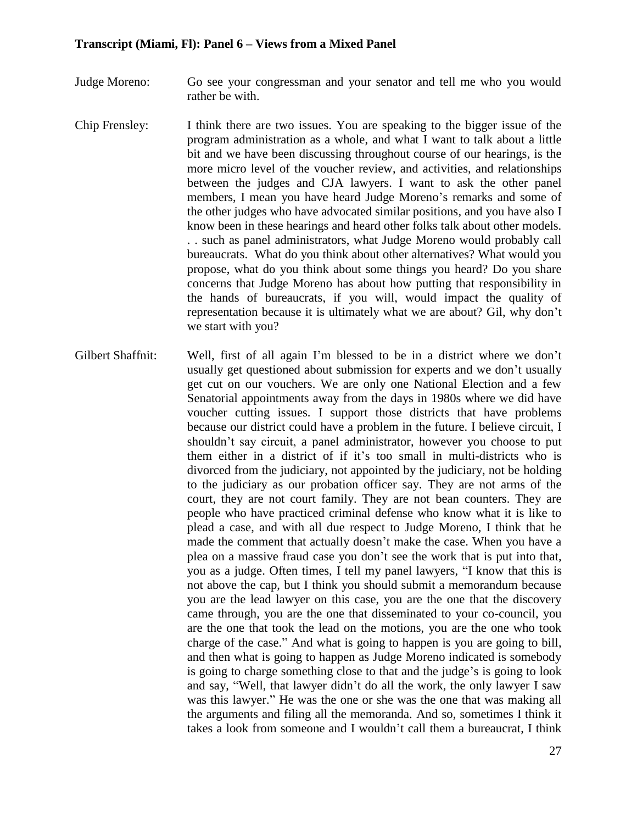- Judge Moreno: Go see your congressman and your senator and tell me who you would rather be with.
- Chip Frensley: I think there are two issues. You are speaking to the bigger issue of the program administration as a whole, and what I want to talk about a little bit and we have been discussing throughout course of our hearings, is the more micro level of the voucher review, and activities, and relationships between the judges and CJA lawyers. I want to ask the other panel members, I mean you have heard Judge Moreno's remarks and some of the other judges who have advocated similar positions, and you have also I know been in these hearings and heard other folks talk about other models. . . such as panel administrators, what Judge Moreno would probably call bureaucrats. What do you think about other alternatives? What would you propose, what do you think about some things you heard? Do you share concerns that Judge Moreno has about how putting that responsibility in the hands of bureaucrats, if you will, would impact the quality of representation because it is ultimately what we are about? Gil, why don't we start with you?
- Gilbert Shaffnit: Well, first of all again I'm blessed to be in a district where we don't usually get questioned about submission for experts and we don't usually get cut on our vouchers. We are only one National Election and a few Senatorial appointments away from the days in 1980s where we did have voucher cutting issues. I support those districts that have problems because our district could have a problem in the future. I believe circuit, I shouldn't say circuit, a panel administrator, however you choose to put them either in a district of if it's too small in multi-districts who is divorced from the judiciary, not appointed by the judiciary, not be holding to the judiciary as our probation officer say. They are not arms of the court, they are not court family. They are not bean counters. They are people who have practiced criminal defense who know what it is like to plead a case, and with all due respect to Judge Moreno, I think that he made the comment that actually doesn't make the case. When you have a plea on a massive fraud case you don't see the work that is put into that, you as a judge. Often times, I tell my panel lawyers, "I know that this is not above the cap, but I think you should submit a memorandum because you are the lead lawyer on this case, you are the one that the discovery came through, you are the one that disseminated to your co-council, you are the one that took the lead on the motions, you are the one who took charge of the case." And what is going to happen is you are going to bill, and then what is going to happen as Judge Moreno indicated is somebody is going to charge something close to that and the judge's is going to look and say, "Well, that lawyer didn't do all the work, the only lawyer I saw was this lawyer." He was the one or she was the one that was making all the arguments and filing all the memoranda. And so, sometimes I think it takes a look from someone and I wouldn't call them a bureaucrat, I think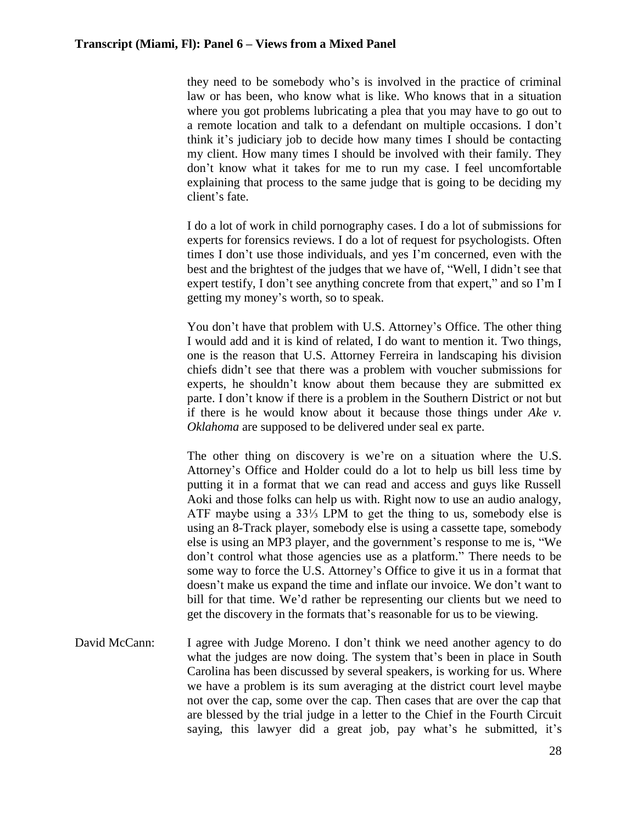they need to be somebody who's is involved in the practice of criminal law or has been, who know what is like. Who knows that in a situation where you got problems lubricating a plea that you may have to go out to a remote location and talk to a defendant on multiple occasions. I don't think it's judiciary job to decide how many times I should be contacting my client. How many times I should be involved with their family. They don't know what it takes for me to run my case. I feel uncomfortable explaining that process to the same judge that is going to be deciding my client's fate.

I do a lot of work in child pornography cases. I do a lot of submissions for experts for forensics reviews. I do a lot of request for psychologists. Often times I don't use those individuals, and yes I'm concerned, even with the best and the brightest of the judges that we have of, "Well, I didn't see that expert testify, I don't see anything concrete from that expert," and so I'm I getting my money's worth, so to speak.

You don't have that problem with U.S. Attorney's Office. The other thing I would add and it is kind of related, I do want to mention it. Two things, one is the reason that U.S. Attorney Ferreira in landscaping his division chiefs didn't see that there was a problem with voucher submissions for experts, he shouldn't know about them because they are submitted ex parte. I don't know if there is a problem in the Southern District or not but if there is he would know about it because those things under *Ake v. Oklahoma* are supposed to be delivered under seal ex parte.

The other thing on discovery is we're on a situation where the U.S. Attorney's Office and Holder could do a lot to help us bill less time by putting it in a format that we can read and access and guys like Russell Aoki and those folks can help us with. Right now to use an audio analogy, ATF maybe using a 33⅓ LPM to get the thing to us, somebody else is using an 8-Track player, somebody else is using a cassette tape, somebody else is using an MP3 player, and the government's response to me is, "We don't control what those agencies use as a platform." There needs to be some way to force the U.S. Attorney's Office to give it us in a format that doesn't make us expand the time and inflate our invoice. We don't want to bill for that time. We'd rather be representing our clients but we need to get the discovery in the formats that's reasonable for us to be viewing.

David McCann: I agree with Judge Moreno. I don't think we need another agency to do what the judges are now doing. The system that's been in place in South Carolina has been discussed by several speakers, is working for us. Where we have a problem is its sum averaging at the district court level maybe not over the cap, some over the cap. Then cases that are over the cap that are blessed by the trial judge in a letter to the Chief in the Fourth Circuit saying, this lawyer did a great job, pay what's he submitted, it's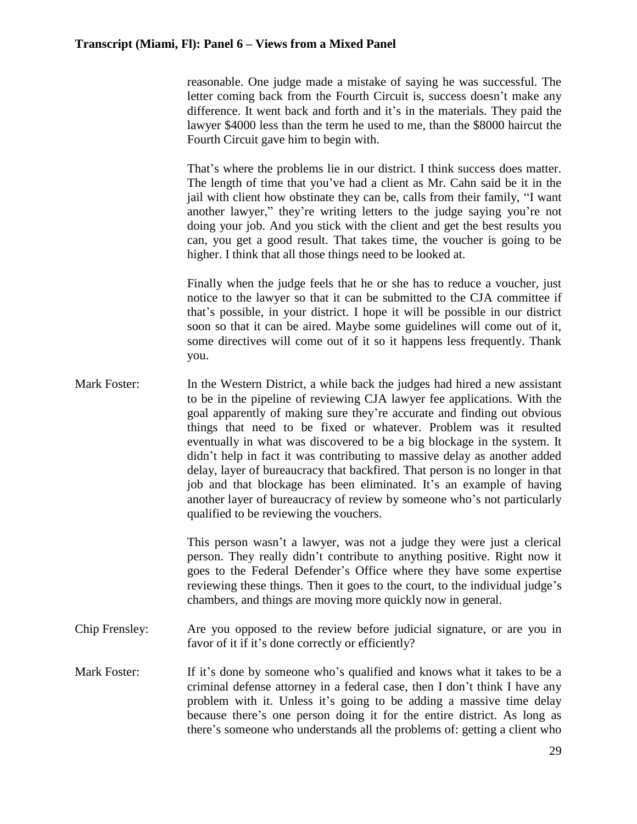reasonable. One judge made a mistake of saying he was successful. The letter coming back from the Fourth Circuit is, success doesn't make any difference. It went back and forth and it's in the materials. They paid the lawyer \$4000 less than the term he used to me, than the \$8000 haircut the Fourth Circuit gave him to begin with.

That's where the problems lie in our district. I think success does matter. The length of time that you've had a client as Mr. Cahn said be it in the jail with client how obstinate they can be, calls from their family, "I want another lawyer," they're writing letters to the judge saying you're not doing your job. And you stick with the client and get the best results you can, you get a good result. That takes time, the voucher is going to be higher. I think that all those things need to be looked at.

Finally when the judge feels that he or she has to reduce a voucher, just notice to the lawyer so that it can be submitted to the CJA committee if that's possible, in your district. I hope it will be possible in our district soon so that it can be aired. Maybe some guidelines will come out of it, some directives will come out of it so it happens less frequently. Thank you.

Mark Foster: In the Western District, a while back the judges had hired a new assistant to be in the pipeline of reviewing CJA lawyer fee applications. With the goal apparently of making sure they're accurate and finding out obvious things that need to be fixed or whatever. Problem was it resulted eventually in what was discovered to be a big blockage in the system. It didn't help in fact it was contributing to massive delay as another added delay, layer of bureaucracy that backfired. That person is no longer in that job and that blockage has been eliminated. It's an example of having another layer of bureaucracy of review by someone who's not particularly qualified to be reviewing the vouchers.

> This person wasn't a lawyer, was not a judge they were just a clerical person. They really didn't contribute to anything positive. Right now it goes to the Federal Defender's Office where they have some expertise reviewing these things. Then it goes to the court, to the individual judge's chambers, and things are moving more quickly now in general.

- Chip Frensley: Are you opposed to the review before judicial signature, or are you in favor of it if it's done correctly or efficiently?
- Mark Foster: If it's done by someone who's qualified and knows what it takes to be a criminal defense attorney in a federal case, then I don't think I have any problem with it. Unless it's going to be adding a massive time delay because there's one person doing it for the entire district. As long as there's someone who understands all the problems of: getting a client who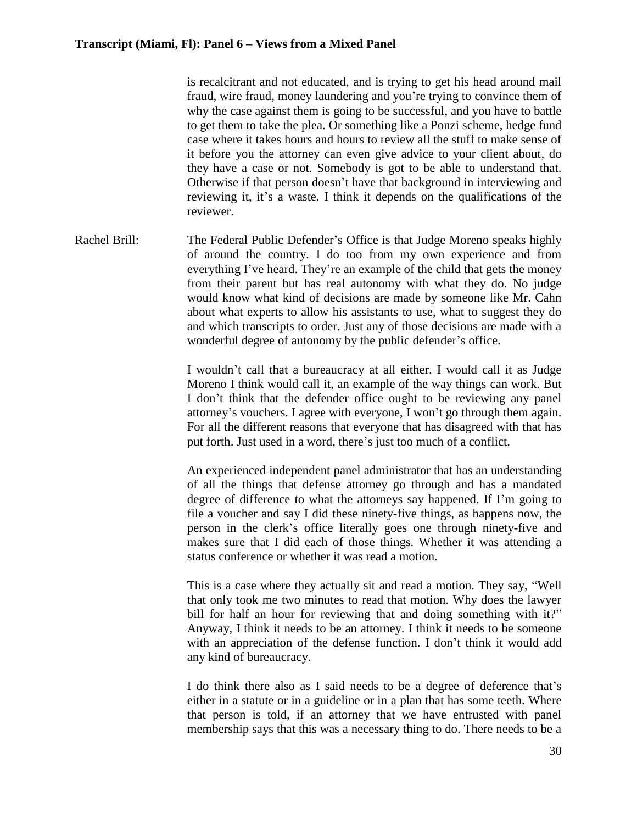is recalcitrant and not educated, and is trying to get his head around mail fraud, wire fraud, money laundering and you're trying to convince them of why the case against them is going to be successful, and you have to battle to get them to take the plea. Or something like a Ponzi scheme, hedge fund case where it takes hours and hours to review all the stuff to make sense of it before you the attorney can even give advice to your client about, do they have a case or not. Somebody is got to be able to understand that. Otherwise if that person doesn't have that background in interviewing and reviewing it, it's a waste. I think it depends on the qualifications of the reviewer.

Rachel Brill: The Federal Public Defender's Office is that Judge Moreno speaks highly of around the country. I do too from my own experience and from everything I've heard. They're an example of the child that gets the money from their parent but has real autonomy with what they do. No judge would know what kind of decisions are made by someone like Mr. Cahn about what experts to allow his assistants to use, what to suggest they do and which transcripts to order. Just any of those decisions are made with a wonderful degree of autonomy by the public defender's office.

> I wouldn't call that a bureaucracy at all either. I would call it as Judge Moreno I think would call it, an example of the way things can work. But I don't think that the defender office ought to be reviewing any panel attorney's vouchers. I agree with everyone, I won't go through them again. For all the different reasons that everyone that has disagreed with that has put forth. Just used in a word, there's just too much of a conflict.

> An experienced independent panel administrator that has an understanding of all the things that defense attorney go through and has a mandated degree of difference to what the attorneys say happened. If I'm going to file a voucher and say I did these ninety-five things, as happens now, the person in the clerk's office literally goes one through ninety-five and makes sure that I did each of those things. Whether it was attending a status conference or whether it was read a motion.

> This is a case where they actually sit and read a motion. They say, "Well that only took me two minutes to read that motion. Why does the lawyer bill for half an hour for reviewing that and doing something with it?" Anyway, I think it needs to be an attorney. I think it needs to be someone with an appreciation of the defense function. I don't think it would add any kind of bureaucracy.

> I do think there also as I said needs to be a degree of deference that's either in a statute or in a guideline or in a plan that has some teeth. Where that person is told, if an attorney that we have entrusted with panel membership says that this was a necessary thing to do. There needs to be a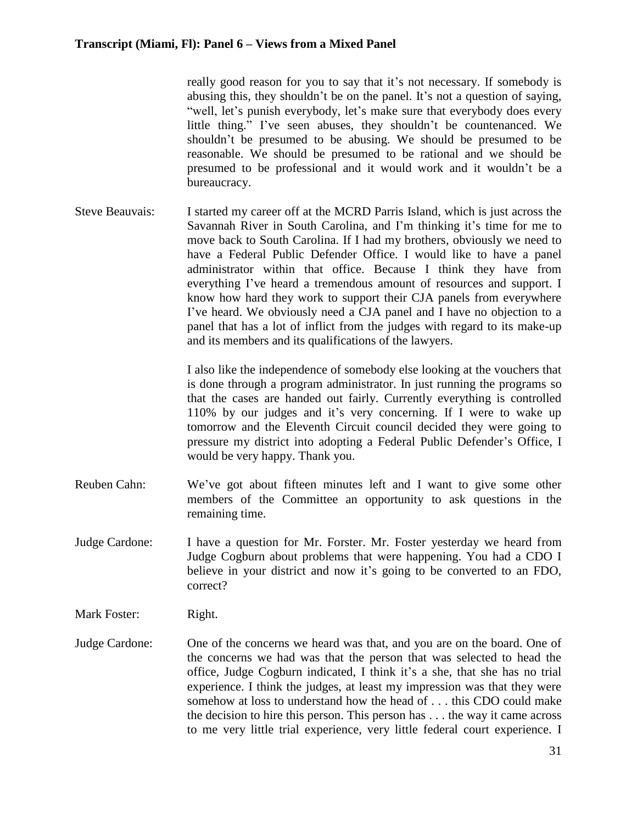really good reason for you to say that it's not necessary. If somebody is abusing this, they shouldn't be on the panel. It's not a question of saying, "well, let's punish everybody, let's make sure that everybody does every little thing." I've seen abuses, they shouldn't be countenanced. We shouldn't be presumed to be abusing. We should be presumed to be reasonable. We should be presumed to be rational and we should be presumed to be professional and it would work and it wouldn't be a bureaucracy.

Steve Beauvais: I started my career off at the MCRD Parris Island, which is just across the Savannah River in South Carolina, and I'm thinking it's time for me to move back to South Carolina. If I had my brothers, obviously we need to have a Federal Public Defender Office. I would like to have a panel administrator within that office. Because I think they have from everything I've heard a tremendous amount of resources and support. I know how hard they work to support their CJA panels from everywhere I've heard. We obviously need a CJA panel and I have no objection to a panel that has a lot of inflict from the judges with regard to its make-up and its members and its qualifications of the lawyers.

> I also like the independence of somebody else looking at the vouchers that is done through a program administrator. In just running the programs so that the cases are handed out fairly. Currently everything is controlled 110% by our judges and it's very concerning. If I were to wake up tomorrow and the Eleventh Circuit council decided they were going to pressure my district into adopting a Federal Public Defender's Office, I would be very happy. Thank you.

- Reuben Cahn: We've got about fifteen minutes left and I want to give some other members of the Committee an opportunity to ask questions in the remaining time.
- Judge Cardone: I have a question for Mr. Forster. Mr. Foster yesterday we heard from Judge Cogburn about problems that were happening. You had a CDO I believe in your district and now it's going to be converted to an FDO, correct?
- Mark Foster: Right.
- Judge Cardone: One of the concerns we heard was that, and you are on the board. One of the concerns we had was that the person that was selected to head the office, Judge Cogburn indicated, I think it's a she, that she has no trial experience. I think the judges, at least my impression was that they were somehow at loss to understand how the head of . . . this CDO could make the decision to hire this person. This person has . . . the way it came across to me very little trial experience, very little federal court experience. I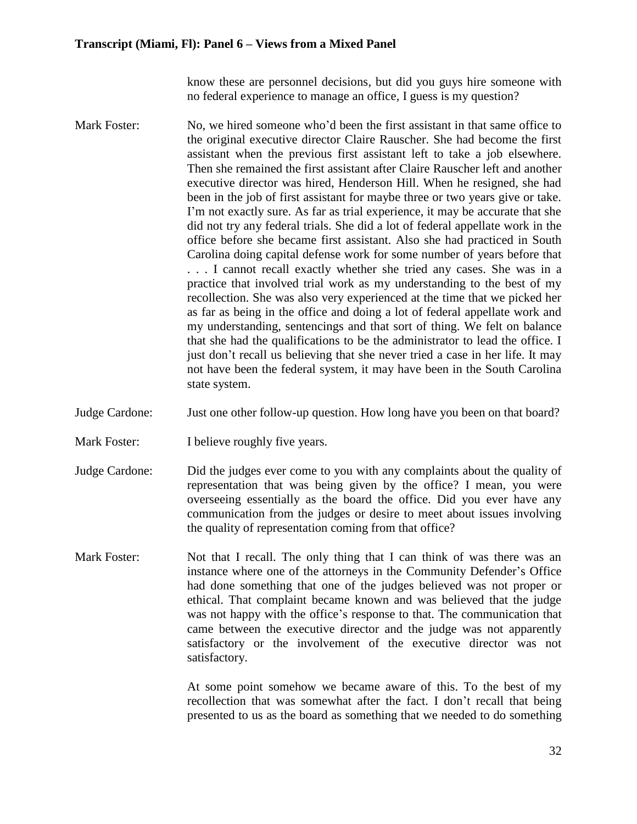know these are personnel decisions, but did you guys hire someone with no federal experience to manage an office, I guess is my question?

- Mark Foster: No, we hired someone who'd been the first assistant in that same office to the original executive director Claire Rauscher. She had become the first assistant when the previous first assistant left to take a job elsewhere. Then she remained the first assistant after Claire Rauscher left and another executive director was hired, Henderson Hill. When he resigned, she had been in the job of first assistant for maybe three or two years give or take. I'm not exactly sure. As far as trial experience, it may be accurate that she did not try any federal trials. She did a lot of federal appellate work in the office before she became first assistant. Also she had practiced in South Carolina doing capital defense work for some number of years before that . . . I cannot recall exactly whether she tried any cases. She was in a practice that involved trial work as my understanding to the best of my recollection. She was also very experienced at the time that we picked her as far as being in the office and doing a lot of federal appellate work and my understanding, sentencings and that sort of thing. We felt on balance that she had the qualifications to be the administrator to lead the office. I just don't recall us believing that she never tried a case in her life. It may not have been the federal system, it may have been in the South Carolina state system.
- Judge Cardone: Just one other follow-up question. How long have you been on that board?
- Mark Foster: I believe roughly five years.
- Judge Cardone: Did the judges ever come to you with any complaints about the quality of representation that was being given by the office? I mean, you were overseeing essentially as the board the office. Did you ever have any communication from the judges or desire to meet about issues involving the quality of representation coming from that office?
- Mark Foster: Not that I recall. The only thing that I can think of was there was an instance where one of the attorneys in the Community Defender's Office had done something that one of the judges believed was not proper or ethical. That complaint became known and was believed that the judge was not happy with the office's response to that. The communication that came between the executive director and the judge was not apparently satisfactory or the involvement of the executive director was not satisfactory.

At some point somehow we became aware of this. To the best of my recollection that was somewhat after the fact. I don't recall that being presented to us as the board as something that we needed to do something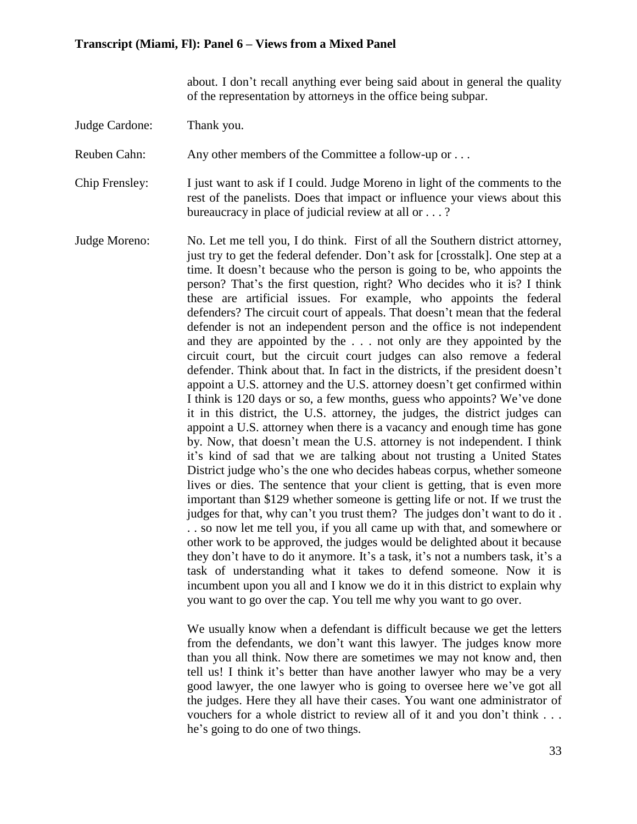about. I don't recall anything ever being said about in general the quality of the representation by attorneys in the office being subpar.

Judge Cardone: Thank you.

Reuben Cahn: Any other members of the Committee a follow-up or ...

Chip Frensley: I just want to ask if I could. Judge Moreno in light of the comments to the rest of the panelists. Does that impact or influence your views about this bureaucracy in place of judicial review at all or . . . ?

Judge Moreno: No. Let me tell you, I do think. First of all the Southern district attorney, just try to get the federal defender. Don't ask for [crosstalk]. One step at a time. It doesn't because who the person is going to be, who appoints the person? That's the first question, right? Who decides who it is? I think these are artificial issues. For example, who appoints the federal defenders? The circuit court of appeals. That doesn't mean that the federal defender is not an independent person and the office is not independent and they are appointed by the . . . not only are they appointed by the circuit court, but the circuit court judges can also remove a federal defender. Think about that. In fact in the districts, if the president doesn't appoint a U.S. attorney and the U.S. attorney doesn't get confirmed within I think is 120 days or so, a few months, guess who appoints? We've done it in this district, the U.S. attorney, the judges, the district judges can appoint a U.S. attorney when there is a vacancy and enough time has gone by. Now, that doesn't mean the U.S. attorney is not independent. I think it's kind of sad that we are talking about not trusting a United States District judge who's the one who decides habeas corpus, whether someone lives or dies. The sentence that your client is getting, that is even more important than \$129 whether someone is getting life or not. If we trust the judges for that, why can't you trust them? The judges don't want to do it . . . so now let me tell you, if you all came up with that, and somewhere or other work to be approved, the judges would be delighted about it because they don't have to do it anymore. It's a task, it's not a numbers task, it's a task of understanding what it takes to defend someone. Now it is incumbent upon you all and I know we do it in this district to explain why you want to go over the cap. You tell me why you want to go over.

> We usually know when a defendant is difficult because we get the letters from the defendants, we don't want this lawyer. The judges know more than you all think. Now there are sometimes we may not know and, then tell us! I think it's better than have another lawyer who may be a very good lawyer, the one lawyer who is going to oversee here we've got all the judges. Here they all have their cases. You want one administrator of vouchers for a whole district to review all of it and you don't think . . . he's going to do one of two things.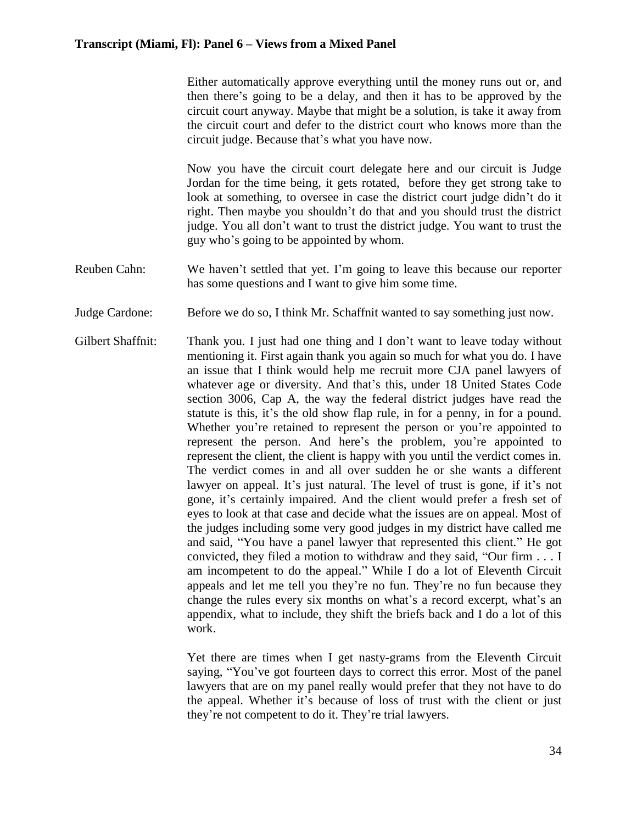Either automatically approve everything until the money runs out or, and then there's going to be a delay, and then it has to be approved by the circuit court anyway. Maybe that might be a solution, is take it away from the circuit court and defer to the district court who knows more than the circuit judge. Because that's what you have now.

Now you have the circuit court delegate here and our circuit is Judge Jordan for the time being, it gets rotated, before they get strong take to look at something, to oversee in case the district court judge didn't do it right. Then maybe you shouldn't do that and you should trust the district judge. You all don't want to trust the district judge. You want to trust the guy who's going to be appointed by whom.

- Reuben Cahn: We haven't settled that yet. I'm going to leave this because our reporter has some questions and I want to give him some time.
- Judge Cardone: Before we do so, I think Mr. Schaffnit wanted to say something just now.
- Gilbert Shaffnit: Thank you. I just had one thing and I don't want to leave today without mentioning it. First again thank you again so much for what you do. I have an issue that I think would help me recruit more CJA panel lawyers of whatever age or diversity. And that's this, under 18 United States Code section 3006, Cap A, the way the federal district judges have read the statute is this, it's the old show flap rule, in for a penny, in for a pound. Whether you're retained to represent the person or you're appointed to represent the person. And here's the problem, you're appointed to represent the client, the client is happy with you until the verdict comes in. The verdict comes in and all over sudden he or she wants a different lawyer on appeal. It's just natural. The level of trust is gone, if it's not gone, it's certainly impaired. And the client would prefer a fresh set of eyes to look at that case and decide what the issues are on appeal. Most of the judges including some very good judges in my district have called me and said, "You have a panel lawyer that represented this client." He got convicted, they filed a motion to withdraw and they said, "Our firm . . . I am incompetent to do the appeal." While I do a lot of Eleventh Circuit appeals and let me tell you they're no fun. They're no fun because they change the rules every six months on what's a record excerpt, what's an appendix, what to include, they shift the briefs back and I do a lot of this work.

Yet there are times when I get nasty-grams from the Eleventh Circuit saying, "You've got fourteen days to correct this error. Most of the panel lawyers that are on my panel really would prefer that they not have to do the appeal. Whether it's because of loss of trust with the client or just they're not competent to do it. They're trial lawyers.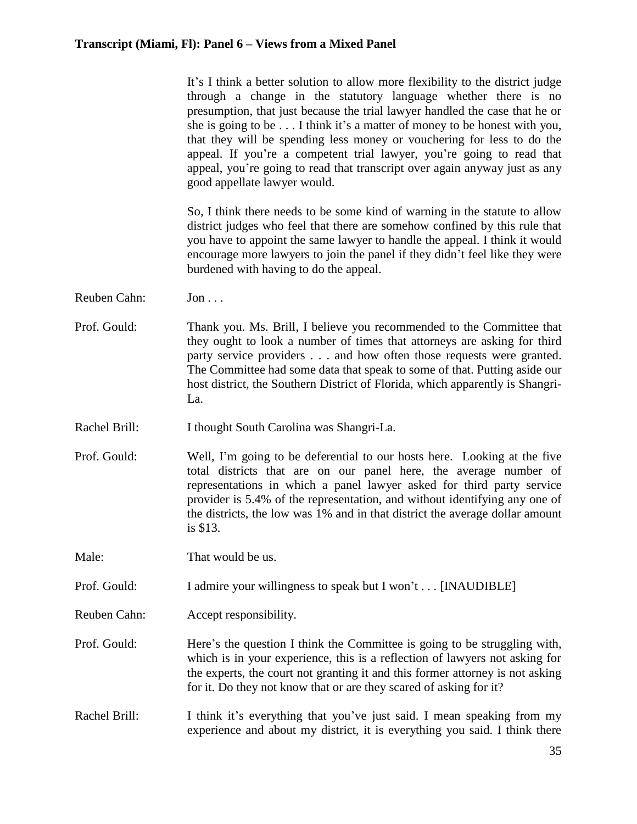|               | It's I think a better solution to allow more flexibility to the district judge<br>through a change in the statutory language whether there is no<br>presumption, that just because the trial lawyer handled the case that he or<br>she is going to be I think it's a matter of money to be honest with you,<br>that they will be spending less money or vouchering for less to do the<br>appeal. If you're a competent trial lawyer, you're going to read that<br>appeal, you're going to read that transcript over again anyway just as any<br>good appellate lawyer would. |
|---------------|------------------------------------------------------------------------------------------------------------------------------------------------------------------------------------------------------------------------------------------------------------------------------------------------------------------------------------------------------------------------------------------------------------------------------------------------------------------------------------------------------------------------------------------------------------------------------|
|               | So, I think there needs to be some kind of warning in the statute to allow<br>district judges who feel that there are somehow confined by this rule that<br>you have to appoint the same lawyer to handle the appeal. I think it would<br>encourage more lawyers to join the panel if they didn't feel like they were<br>burdened with having to do the appeal.                                                                                                                                                                                                              |
| Reuben Cahn:  | $Jon \dots$                                                                                                                                                                                                                                                                                                                                                                                                                                                                                                                                                                  |
| Prof. Gould:  | Thank you. Ms. Brill, I believe you recommended to the Committee that<br>they ought to look a number of times that attorneys are asking for third<br>party service providers and how often those requests were granted.<br>The Committee had some data that speak to some of that. Putting aside our<br>host district, the Southern District of Florida, which apparently is Shangri-<br>La.                                                                                                                                                                                 |
| Rachel Brill: | I thought South Carolina was Shangri-La.                                                                                                                                                                                                                                                                                                                                                                                                                                                                                                                                     |
| Prof. Gould:  | Well, I'm going to be deferential to our hosts here. Looking at the five<br>total districts that are on our panel here, the average number of<br>representations in which a panel lawyer asked for third party service<br>provider is 5.4% of the representation, and without identifying any one of<br>the districts, the low was 1% and in that district the average dollar amount<br>is \$13.                                                                                                                                                                             |
| Male:         | That would be us.                                                                                                                                                                                                                                                                                                                                                                                                                                                                                                                                                            |
| Prof. Gould:  | I admire your willingness to speak but I won't [INAUDIBLE]                                                                                                                                                                                                                                                                                                                                                                                                                                                                                                                   |
| Reuben Cahn:  | Accept responsibility.                                                                                                                                                                                                                                                                                                                                                                                                                                                                                                                                                       |
| Prof. Gould:  | Here's the question I think the Committee is going to be struggling with,<br>which is in your experience, this is a reflection of lawyers not asking for<br>the experts, the court not granting it and this former attorney is not asking<br>for it. Do they not know that or are they scared of asking for it?                                                                                                                                                                                                                                                              |
| Rachel Brill: | I think it's everything that you've just said. I mean speaking from my<br>experience and about my district, it is everything you said. I think there                                                                                                                                                                                                                                                                                                                                                                                                                         |
|               |                                                                                                                                                                                                                                                                                                                                                                                                                                                                                                                                                                              |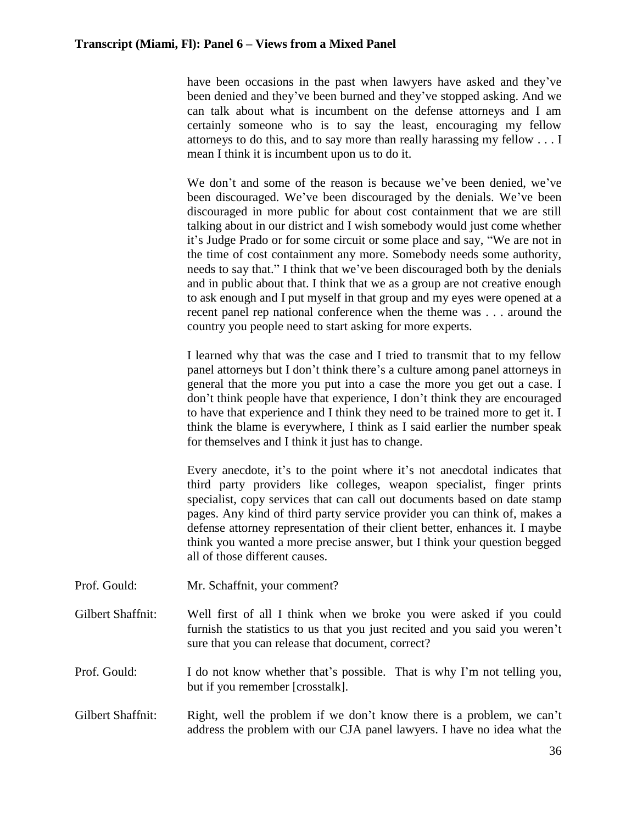have been occasions in the past when lawyers have asked and they've been denied and they've been burned and they've stopped asking. And we can talk about what is incumbent on the defense attorneys and I am certainly someone who is to say the least, encouraging my fellow attorneys to do this, and to say more than really harassing my fellow . . . I mean I think it is incumbent upon us to do it.

We don't and some of the reason is because we've been denied, we've been discouraged. We've been discouraged by the denials. We've been discouraged in more public for about cost containment that we are still talking about in our district and I wish somebody would just come whether it's Judge Prado or for some circuit or some place and say, "We are not in the time of cost containment any more. Somebody needs some authority, needs to say that." I think that we've been discouraged both by the denials and in public about that. I think that we as a group are not creative enough to ask enough and I put myself in that group and my eyes were opened at a recent panel rep national conference when the theme was . . . around the country you people need to start asking for more experts.

I learned why that was the case and I tried to transmit that to my fellow panel attorneys but I don't think there's a culture among panel attorneys in general that the more you put into a case the more you get out a case. I don't think people have that experience, I don't think they are encouraged to have that experience and I think they need to be trained more to get it. I think the blame is everywhere, I think as I said earlier the number speak for themselves and I think it just has to change.

Every anecdote, it's to the point where it's not anecdotal indicates that third party providers like colleges, weapon specialist, finger prints specialist, copy services that can call out documents based on date stamp pages. Any kind of third party service provider you can think of, makes a defense attorney representation of their client better, enhances it. I maybe think you wanted a more precise answer, but I think your question begged all of those different causes.

- Prof. Gould: Mr. Schaffnit, your comment?
- Gilbert Shaffnit: Well first of all I think when we broke you were asked if you could furnish the statistics to us that you just recited and you said you weren't sure that you can release that document, correct?

Prof. Gould: I do not know whether that's possible. That is why I'm not telling you, but if you remember [crosstalk].

Gilbert Shaffnit: Right, well the problem if we don't know there is a problem, we can't address the problem with our CJA panel lawyers. I have no idea what the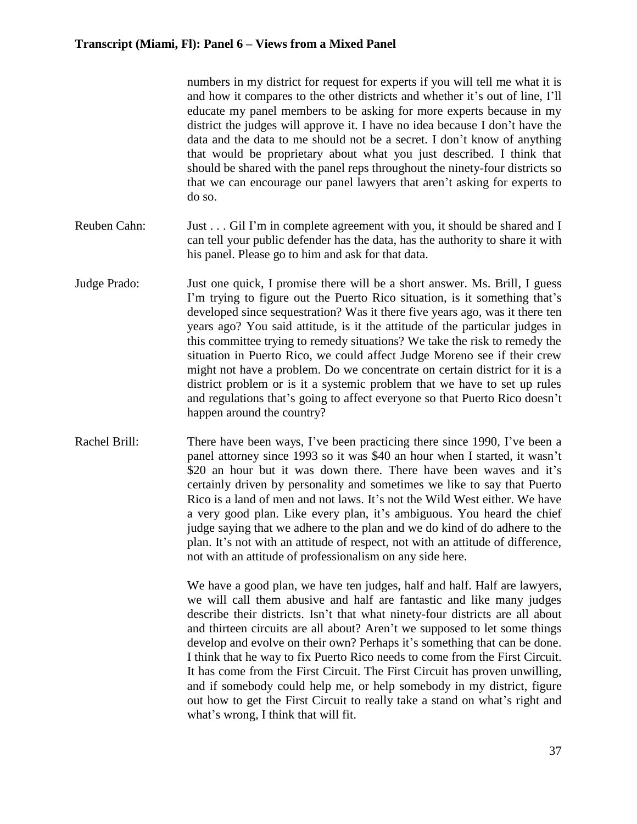numbers in my district for request for experts if you will tell me what it is and how it compares to the other districts and whether it's out of line, I'll educate my panel members to be asking for more experts because in my district the judges will approve it. I have no idea because I don't have the data and the data to me should not be a secret. I don't know of anything that would be proprietary about what you just described. I think that should be shared with the panel reps throughout the ninety-four districts so that we can encourage our panel lawyers that aren't asking for experts to do so.

- Reuben Cahn: Just . . . Gil I'm in complete agreement with you, it should be shared and I can tell your public defender has the data, has the authority to share it with his panel. Please go to him and ask for that data.
- Judge Prado: Just one quick, I promise there will be a short answer. Ms. Brill, I guess I'm trying to figure out the Puerto Rico situation, is it something that's developed since sequestration? Was it there five years ago, was it there ten years ago? You said attitude, is it the attitude of the particular judges in this committee trying to remedy situations? We take the risk to remedy the situation in Puerto Rico, we could affect Judge Moreno see if their crew might not have a problem. Do we concentrate on certain district for it is a district problem or is it a systemic problem that we have to set up rules and regulations that's going to affect everyone so that Puerto Rico doesn't happen around the country?
- Rachel Brill: There have been ways, I've been practicing there since 1990, I've been a panel attorney since 1993 so it was \$40 an hour when I started, it wasn't \$20 an hour but it was down there. There have been waves and it's certainly driven by personality and sometimes we like to say that Puerto Rico is a land of men and not laws. It's not the Wild West either. We have a very good plan. Like every plan, it's ambiguous. You heard the chief judge saying that we adhere to the plan and we do kind of do adhere to the plan. It's not with an attitude of respect, not with an attitude of difference, not with an attitude of professionalism on any side here.

We have a good plan, we have ten judges, half and half. Half are lawyers, we will call them abusive and half are fantastic and like many judges describe their districts. Isn't that what ninety-four districts are all about and thirteen circuits are all about? Aren't we supposed to let some things develop and evolve on their own? Perhaps it's something that can be done. I think that he way to fix Puerto Rico needs to come from the First Circuit. It has come from the First Circuit. The First Circuit has proven unwilling, and if somebody could help me, or help somebody in my district, figure out how to get the First Circuit to really take a stand on what's right and what's wrong, I think that will fit.